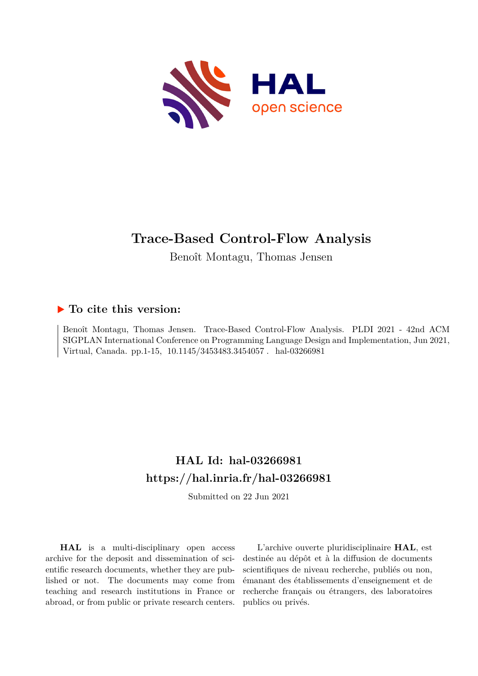

# **Trace-Based Control-Flow Analysis**

Benoît Montagu, Thomas Jensen

# **To cite this version:**

Benoît Montagu, Thomas Jensen. Trace-Based Control-Flow Analysis. PLDI 2021 - 42nd ACM SIGPLAN International Conference on Programming Language Design and Implementation, Jun 2021, Virtual, Canada. pp.1-15, 10.1145/3453483.3454057. hal-03266981

# **HAL Id: hal-03266981 <https://hal.inria.fr/hal-03266981>**

Submitted on 22 Jun 2021

**HAL** is a multi-disciplinary open access archive for the deposit and dissemination of scientific research documents, whether they are published or not. The documents may come from teaching and research institutions in France or abroad, or from public or private research centers.

L'archive ouverte pluridisciplinaire **HAL**, est destinée au dépôt et à la diffusion de documents scientifiques de niveau recherche, publiés ou non, émanant des établissements d'enseignement et de recherche français ou étrangers, des laboratoires publics ou privés.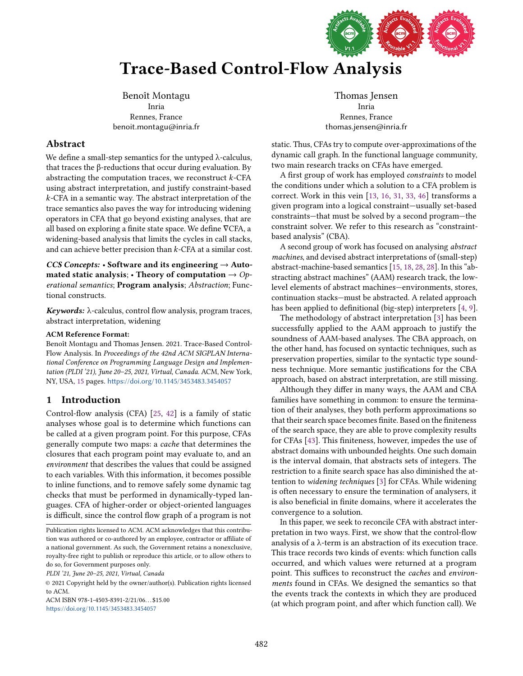

# Trace-Based Control-Flow Analysis

Benoît Montagu Inria Rennes, France benoit.montagu@inria.fr

# Abstract

We define a small-step semantics for the untyped  $\lambda$ -calculus, that traces the β-reductions that occur during evaluation. By abstracting the computation traces, we reconstruct  $k$ -CFA using abstract interpretation, and justify constraint-based  $k$ -CFA in a semantic way. The abstract interpretation of the trace semantics also paves the way for introducing widening operators in CFA that go beyond existing analyses, that are all based on exploring a finite state space. We define ∇CFA, a widening-based analysis that limits the cycles in call stacks, and can achieve better precision than  $k$ -CFA at a similar cost.

CCS Concepts: • Software and its engineering  $\rightarrow$  Automated static analysis; • Theory of computation  $\rightarrow$  Operational semantics; Program analysis; Abstraction; Functional constructs.

Keywords:  $\lambda$ -calculus, control flow analysis, program traces, abstract interpretation, widening

#### ACM Reference Format:

Benoît Montagu and Thomas Jensen. 2021. Trace-Based Control-Flow Analysis. In Proceedings of the 42nd ACM SIGPLAN International Conference on Programming Language Design and Implementation (PLDI '21), June 20-25, 2021, Virtual, Canada. ACM, New York, NY, USA, [15](#page-15-0) pages. <https://doi.org/10.1145/3453483.3454057>

# 1 Introduction

Control-flow analysis (CFA) [\[25,](#page-14-0) [42\]](#page-15-1) is a family of static analyses whose goal is to determine which functions can be called at a given program point. For this purpose, CFAs generally compute two maps: a cache that determines the closures that each program point may evaluate to, and an environment that describes the values that could be assigned to each variables. With this information, it becomes possible to inline functions, and to remove safely some dynamic tag checks that must be performed in dynamically-typed languages. CFA of higher-order or object-oriented languages is difficult, since the control flow graph of a program is not

Publication rights licensed to ACM. ACM acknowledges that this contribution was authored or co-authored by an employee, contractor or affiliate of a national government. As such, the Government retains a nonexclusive, royalty-free right to publish or reproduce this article, or to allow others to do so, for Government purposes only.

PLDI '21, June 20-25, 2021, Virtual, Canada

© 2021 Copyright held by the owner/author(s). Publication rights licensed to ACM.

ACM ISBN 978-1-4503-8391-2/21/06. . . \$15.00 <https://doi.org/10.1145/3453483.3454057>

Thomas Jensen Inria Rennes, France thomas.jensen@inria.fr

static. Thus, CFAs try to compute over-approximations of the dynamic call graph. In the functional language community, two main research tracks on CFAs have emerged.

A first group of work has employed constraints to model the conditions under which a solution to a CFA problem is correct. Work in this vein [\[13,](#page-14-1) [16,](#page-14-2) [31,](#page-15-2) [33,](#page-15-3) [46\]](#page-15-4) transforms a given program into a logical constraint-usually set-based constraints-that must be solved by a second program-the constraint solver. We refer to this research as "constraintbased analysis" (CBA).

A second group of work has focused on analysing abstract machines, and devised abstract interpretations of (small-step) abstract-machine-based semantics [\[15,](#page-14-3) [18,](#page-14-4) [28,](#page-14-5) [28\]](#page-14-5). In this "abstracting abstract machines" (AAM) research track, the lowlevel elements of abstract machines-environments, stores, continuation stacks–must be abstracted. A related approach has been applied to definitional (big-step) interpreters [\[4,](#page-14-6) [9\]](#page-14-7).

The methodology of abstract interpretation [\[3\]](#page-14-8) has been successfully applied to the AAM approach to justify the soundness of AAM-based analyses. The CBA approach, on the other hand, has focused on syntactic techniques, such as preservation properties, similar to the syntactic type soundness technique. More semantic justifications for the CBA approach, based on abstract interpretation, are still missing.

Although they differ in many ways, the AAM and CBA families have something in common: to ensure the termination of their analyses, they both perform approximations so that their search space becomes finite. Based on the finiteness of the search space, they are able to prove complexity results for CFAs [\[43\]](#page-15-5). This finiteness, however, impedes the use of abstract domains with unbounded heights. One such domain is the interval domain, that abstracts sets of integers. The restriction to a finite search space has also diminished the attention to widening techniques [\[3\]](#page-14-8) for CFAs. While widening is often necessary to ensure the termination of analysers, it is also beneficial in finite domains, where it accelerates the convergence to a solution.

In this paper, we seek to reconcile CFA with abstract interpretation in two ways. First, we show that the control-flow analysis of a λ-term is an abstraction of its execution trace. This trace records two kinds of events: which function calls occurred, and which values were returned at a program point. This suffices to reconstruct the caches and environments found in CFAs. We designed the semantics so that the events track the contexts in which they are produced (at which program point, and after which function call). We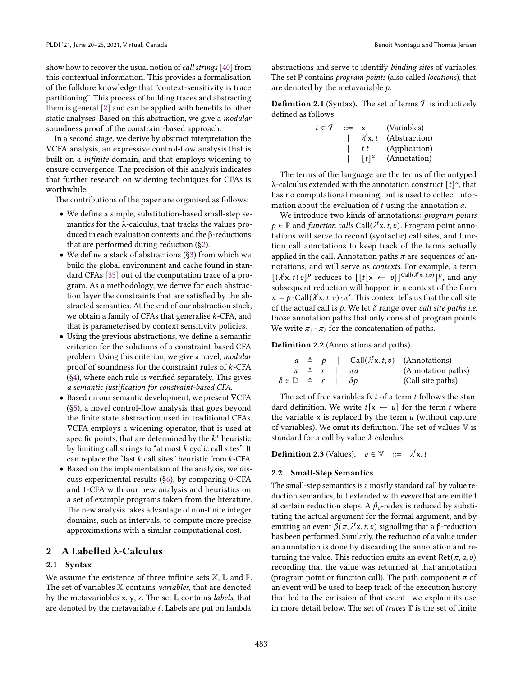show how to recover the usual notion of *call strings* [\[40\]](#page-15-6) from this contextual information. This provides a formalisation of the folklore knowledge that "context-sensitivity is trace" partitioning". This process of building traces and abstracting them is general [\[2\]](#page-14-9) and can be applied with benefits to other static analyses. Based on this abstraction, we give a modular soundness proof of the constraint-based approach.

In a second stage, we derive by abstract interpretation the ∇CFA analysis, an expressive control-flow analysis that is built on a infinite domain, and that employs widening to ensure convergence. The precision of this analysis indicates that further research on widening techniques for CFAs is worthwhile.

The contributions of the paper are organised as follows:

- We define a simple, substitution-based small-step semantics for the λ-calculus, that tracks the values produced in each evaluation contexts and the β-reductions that are performed during reduction ([ğ2\)](#page-2-0).
- We define a stack of abstractions ([ğ3\)](#page-4-0) from which we build the global environment and cache found in standard CFAs [\[33\]](#page-15-3) out of the computation trace of a program. As a methodology, we derive for each abstraction layer the constraints that are satisfied by the abstracted semantics. At the end of our abstraction stack, we obtain a family of CFAs that generalise  $k$ -CFA, and that is parameterised by context sensitivity policies.
- Using the previous abstractions, we define a semantic criterion for the solutions of a constraint-based CFA problem. Using this criterion, we give a novel, modular proof of soundness for the constraint rules of  $k$ -CFA ([ğ4\)](#page-8-0), where each rule is verified separately. This gives a semantic justification for constraint-based CFA.
- Based on our semantic development, we present ∇CFA ([ğ5\)](#page-9-0), a novel control-flow analysis that goes beyond the finite state abstraction used in traditional CFAs. ∇CFA employs a widening operator, that is used at specific points, that are determined by the  $k^*$  heuristic by limiting call strings to "at most  $k$  cyclic call sites". It can replace the "last  $k$  call sites" heuristic from  $k$ -CFA.
- Based on the implementation of the analysis, we discuss experimental results ([ğ6\)](#page-11-0), by comparing 0-CFA and 1-CFA with our new analysis and heuristics on a set of example programs taken from the literature. The new analysis takes advantage of non-finite integer domains, such as intervals, to compute more precise approximations with a similar computational cost.

# <span id="page-2-0"></span>2 A Labelled λ-Calculus

#### <span id="page-2-1"></span>2.1 Syntax

We assume the existence of three infinite sets X, L and P. The set of variables X contains variables, that are denoted by the metavariables x, y, z. The set  $L$  contains *labels*, that are denoted by the metavariable  $\ell$ . Labels are put on lambda

abstractions and serve to identify binding sites of variables. The set  $P$  contains *program points* (also called *locations*), that are denoted by the metavariable  $p$ .

**Definition 2.1** (Syntax). The set of terms  $\mathcal{T}$  is inductively defined as follows:

| $t \in \mathcal{T}$ | $\mathbf{m}$ | x                   | (Variables)   |
|---------------------|--------------|---------------------|---------------|
|                     |              | $\lambda^{t}$ x, t  | (Abstraction) |
|                     |              | t t                 | (Application) |
|                     |              | $\lceil t \rceil^a$ | (Annotation)  |

The terms of the language are the terms of the untyped λ-calculus extended with the annotation construct  $[t]^a$ , that has no computational meaning, but is used to collect information about the evaluation of  $t$  using the annotation  $a$ .

We introduce two kinds of annotations: program points  $p \in \mathbb{P}$  and function calls Call $(\lambda^{\ell} x. t, v)$ . Program point annotations will serve to record (syntactic) call sites, and function call annotations to keep track of the terms actually applied in the call. Annotation paths  $\pi$  are sequences of annotations, and will serve as contexts. For example, a term  $[(\lambda^{\ell}x, t) v]^p$  reduces to  $[[t[x \leftarrow v]]^{Call(\lambda^{\ell}x, t, v)}]^p$ , and any subsequent reduction will happen in a context of the form  $\pi = p \cdot \text{Call}(\lambda^{\ell} x, t, v) \cdot \pi'.$  This context tells us that the call site of the actual call is  $p$ . We let  $\delta$  range over call site paths i.e. those annotation paths that only consist of program points. We write  $\pi_1 \cdot \pi_2$  for the concatenation of paths.

#### Definition 2.2 (Annotations and paths).

|                                                              |  |                                         | $a \triangleq p$   Call $(\lambda^{e} x. t, v)$ (Annotations) |
|--------------------------------------------------------------|--|-----------------------------------------|---------------------------------------------------------------|
|                                                              |  | $\pi \triangleq \varepsilon \mid \pi a$ | (Annotation paths)                                            |
| $\delta \in \mathbb{D} \triangleq \varepsilon \mid \delta p$ |  |                                         | (Call site paths)                                             |

The set of free variables fy  $t$  of a term  $t$  follows the standard definition. We write  $t[x \leftarrow u]$  for the term t where the variable  $x$  is replaced by the term  $u$  (without capture of variables). We omit its definition. The set of values  $\mathbb {V}$  is standard for a call by value  $\lambda$ -calculus.

**Definition 2.3** (Values).  $v \in \mathbb{V}$  ::=  $\lambda^{\ell} x. t$ 

#### 2.2 Small-Step Semantics

The small-step semantics is a mostly standard call by value reduction semantics, but extended with events that are emitted at certain reduction steps. A  $\beta_v$ -redex is reduced by substituting the actual argument for the formal argument, and by emitting an event  $\beta(\pi, \lambda^{\ell} x, t, v)$  signalling that a  $\beta$ -reduction has been performed. Similarly, the reduction of a value under an annotation is done by discarding the annotation and returning the value. This reduction emits an event Ret( $\pi$ ,  $a$ ,  $v$ ) recording that the value was returned at that annotation (program point or function call). The path component  $\pi$  of an event will be used to keep track of the execution history that led to the emission of that event–we explain its use in more detail below. The set of *traces*  $\mathbb T$  is the set of finite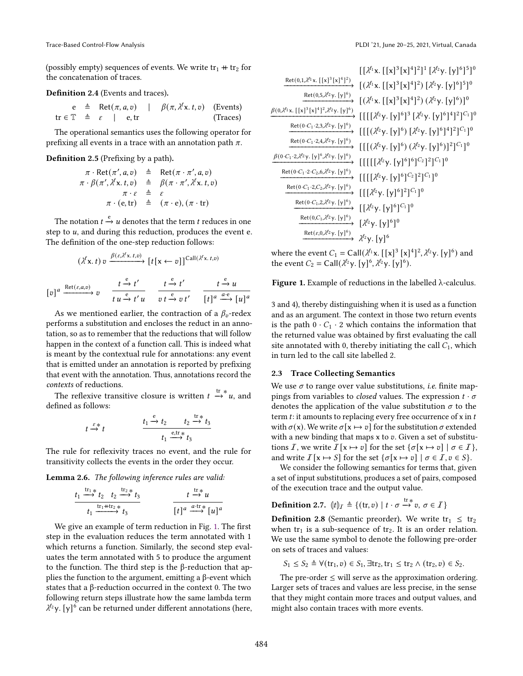(possibly empty) sequences of events. We write  $tr_1 + tr_2$  for the concatenation of traces.

#### Definition 2.4 (Events and traces).

 $e \triangleq \text{Ret}(\pi, a, v) \mid \beta(\pi, \lambda^{\ell} x, t, v) \text{ (Events)}$  $tr \in \mathbb{T} \triangleq \varepsilon$  | e, tr (Traces)

The operational semantics uses the following operator for prefixing all events in a trace with an annotation path  $\pi$ .

#### Definition 2.5 (Prefixing by a path).

$$
\pi \cdot \text{Ret}(\pi', a, v) \triangleq \text{Ret}(\pi \cdot \pi', a, v)
$$
  
\n
$$
\pi \cdot \beta(\pi', \lambda^{\ell} x. t, v) \triangleq \beta(\pi \cdot \pi', \lambda^{\ell} x. t, v)
$$
  
\n
$$
\pi \cdot \varepsilon \triangleq \varepsilon
$$
  
\n
$$
\pi \cdot (\text{e}, \text{tr}) \triangleq (\pi \cdot \text{e}), (\pi \cdot \text{tr})
$$

The notation  $t \xrightarrow{e} u$  denotes that the term  $t$  reduces in one step to  $u$ , and during this reduction, produces the event e. The definition of the one-step reduction follows:

$$
(\lambda^{\ell}x, t) v \xrightarrow{\beta(\varepsilon, \lambda^{\ell}x, t, v)} [t[x \leftarrow v]]^{\text{Call}(\lambda^{\ell}x, t, v)}
$$

$$
[v]^{a} \xrightarrow{\text{Ret}(\varepsilon, a, v)} v \xrightarrow[t u \xrightarrow{\varepsilon} t' u]{} t \xrightarrow{\varepsilon} t' \xrightarrow[t \xrightarrow{\varepsilon} v t' \xrightarrow[t]^{a} \frac{a \cdot e}{[t]^{a}} [u]^{a}
$$

As we mentioned earlier, the contraction of a  $\beta_v$ -redex performs a substitution and encloses the reduct in an annotation, so as to remember that the reductions that will follow happen in the context of a function call. This is indeed what is meant by the contextual rule for annotations: any event that is emitted under an annotation is reported by prefixing that event with the annotation. Thus, annotations record the contexts of reductions.

The reflexive transitive closure is written  $t \stackrel{\text{tr}}{\rightarrow} u$ , and defined as follows:

$$
t \xrightarrow{\varepsilon} t
$$
\n
$$
\begin{array}{ccc}\nt_1 \xrightarrow{e} t_2 & t_2 \xrightarrow{\text{tr}_{\mathscr{X}}} t_3 \\
t_1 \xrightarrow{e, \text{tr}_{\mathscr{X}}} t_3\n\end{array}
$$

The rule for reflexivity traces no event, and the rule for transitivity collects the events in the order they occur.

Lemma 2.6. The following inference rules are valid:

$$
\frac{t_1 \stackrel{\text{tr}_1*}{\longrightarrow} t_2 \quad t_2 \stackrel{\text{tr}_2*}{\longrightarrow} t_3}{t_1 \stackrel{\text{tr}_1 + \text{tr}_2*}{\longrightarrow} t_3} \qquad \qquad \frac{t \stackrel{\text{tr}_*}{\longrightarrow} u}{[t]^a \stackrel{a \cdot \text{tr}_*}{\longrightarrow} [u]^a}
$$

We give an example of term reduction in Fig. [1.](#page-3-0) The first step in the evaluation reduces the term annotated with 1 which returns a function. Similarly, the second step evaluates the term annotated with 5 to produce the argument to the function. The third step is the β-reduction that applies the function to the argument, emitting a β-event which states that a β-reduction occurred in the context 0. The two following return steps illustrate how the same lambda term  $\lambda^{\ell_2}$ y. [y]<sup>6</sup> can be returned under different annotations (here,

<span id="page-3-0"></span>

|                                                                                                           | $[[\lambda^{\ell_1}x, [[x]^3[x]^4]^2]^1 [\lambda^{\ell_2}y, [y]^6]^5]^0$           |
|-----------------------------------------------------------------------------------------------------------|------------------------------------------------------------------------------------|
| Ret $(0,1,\lambda^{\ell_1}x. [[x]^3 [x]^4]^2)$                                                            | $[(\lambda^{\ell_1}x, [[x]^{3}[x]^{4}]^{2}) [\lambda^{\ell_2}y, [y]^{6}]^{5}]^{0}$ |
| Ret(0,5, $\lambda^{l_2}$ y. [y] <sup>6</sup> )                                                            | $[(\lambda^{\ell_1}x, [[x]^{3}[x]^{4}]^{2})(\lambda^{\ell_2}y, [y]^{6})]^{0}$      |
| $\beta(0,\lambda^{\ell_1}x.[[x]^3[x]^4]^2,\lambda^{\ell_2}y.[y]^6)$                                       | $[[[[\lambda^{\ell_2}y,[y]^6]^3[\lambda^{\ell_2}y,[y]^6]^4]^2]^{C_1}]^0$           |
| $\mathsf{Ret}(0\cdot C_1\cdot 2,3,\lambda^{\ell_2}\mathsf{y},\,[\mathsf{y\,]^\mathsf{6})$                 | $[[[(\lambda^{\ell_2}y,[y]^6) [\lambda^{\ell_2}y,[y]^6]^4]^2]^{C_1}]^0$            |
| Ret $(0 \cdot C_1 \cdot 2, 4, \lambda^{\ell_2} \mathsf{y}$ . [y] <sup>6</sup> )                           | $[[[(\lambda^{\ell_2}y,[y]^6)(\lambda^{\ell_2}y,[y]^6)]^2]^{C_1}]^0$               |
| $\beta$ (0·C <sub>1</sub> ·2, $\lambda^{l_2}$ y. [y] <sup>6</sup> , $\lambda^{l_2}$ y. [y] <sup>6</sup> ) | $[[[[[[\lambda^{\ell_2}y,[y]^6]^6]^{C_2}]^2]^{C_1}]^0$                             |
| Ret $(0 \cdot C_1 \cdot 2 \cdot C_2, 6, \lambda^{\ell_2} \gamma$ . [y] <sup>6</sup> )                     | $[[[[\lambda^{\ell_2}y,[y]^6]^{C_2}]^2]^{C_1}]^0$                                  |
| Ret $(0 \cdot C_1 \cdot 2, C_2, \lambda^{\ell_2} \gamma$ . [y] <sup>6</sup> )                             |                                                                                    |
| Ret (0· $C_1$ , 2, $\lambda^{\ell_2}$ y. [y] <sup>6</sup> )                                               | $[[[\lambda^{\ell_2}y,[y]^6]^2]^{C_1}]^0$                                          |
|                                                                                                           | $[[\lambda^{\ell_2}y,[y]^6]^{C_1}]^0$                                              |
| Ret $(0, C_1, \lambda^{\ell_2} \gamma, [\gamma]^6)$                                                       | $[\lambda^{\ell_2}y. [y]^{6}]^{0}$                                                 |
| $\mathsf{Ret}(\varepsilon, 0, \lambda^{\ell_2} \mathsf{y}, [\mathsf{y}]^6)$                               | $\lambda^{\ell_2}$ y. [y] <sup>6</sup>                                             |

where the event  $C_1 = \text{Call}(\lambda^{\ell_1} \mathbf{x} \cdot \left[\lfloor \mathbf{x} \rfloor^3 \lfloor \mathbf{x} \rfloor^4 \right]^2, \lambda^{\ell_2} \mathbf{y} \cdot \left[\mathbf{y}\right]^6)$  and the event  $C_2 = \text{Call}(\lambda^{\ell_2}y, [y]^6, \lambda^{\ell_2}y, [y]^6)$ .

Figure 1. Example of reductions in the labelled  $\lambda$ -calculus.

3 and 4), thereby distinguishing when it is used as a function and as an argument. The context in those two return events is the path  $0 \cdot C_1 \cdot 2$  which contains the information that the returned value was obtained by first evaluating the call site annotated with 0, thereby initiating the call  $C_1$ , which in turn led to the call site labelled 2.

#### 2.3 Trace Collecting Semantics

We use  $\sigma$  to range over value substitutions, *i.e.* finite mappings from variables to *closed* values. The expression  $t \cdot \sigma$ denotes the application of the value substitution  $\sigma$  to the term  $t$ : it amounts to replacing every free occurrence of x in  $t$ with  $\sigma(x)$ . We write  $\sigma[x \mapsto v]$  for the substitution  $\sigma$  extended with a new binding that maps  $x$  to  $v$ . Given a set of substitutions I, we write  $I[x \mapsto v]$  for the set  $\{\sigma[x \mapsto v] \mid \sigma \in I\}$ , and write  $\mathcal{I} [x \mapsto S]$  for the set  $\{\sigma [x \mapsto v] \mid \sigma \in \mathcal{I}, v \in S\}.$ 

We consider the following semantics for terms that, given a set of input substitutions, produces a set of pairs, composed of the execution trace and the output value.

# **Definition 2.7.**  $\|t\|_{\mathcal{I}} \triangleq \{(\text{tr}, v) \mid t \cdot \sigma \stackrel{\text{tr} *}{\rightarrow} v, \sigma \in \mathcal{I}\}\$

**Definition 2.8** (Semantic preorder). We write  $tr_1 \leq tr_2$ when  $tr_1$  is a sub-sequence of  $tr_2$ . It is an order relation. We use the same symbol to denote the following pre-order on sets of traces and values:

$$
S_1 \leq S_2 \triangleq \forall (\text{tr}_1, v) \in S_1, \exists \text{tr}_2, \text{tr}_1 \leq \text{tr}_2 \land (\text{tr}_2, v) \in S_2.
$$

The pre-order  $\leq$  will serve as the approximation ordering. Larger sets of traces and values are less precise, in the sense that they might contain more traces and output values, and might also contain traces with more events.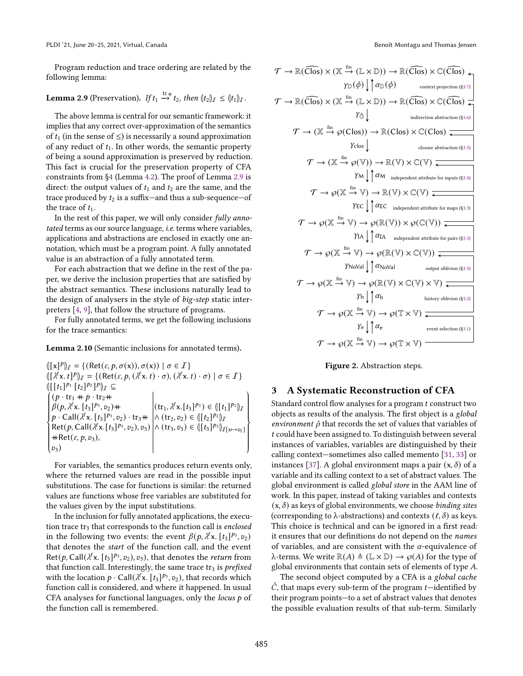Program reduction and trace ordering are related by the following lemma:

# <span id="page-4-1"></span>**Lemma 2.9** (Preservation). *If*  $t_1 \stackrel{\text{tr} *}{\rightarrow} t_2$ , then  $(t_2)$ <sub>*I*</sub>  $\leq (t_1)$ <sub>*I*</sub>.

The above lemma is central for our semantic framework: it implies that any correct over-approximation of the semantics of  $t_1$  (in the sense of  $\leq$ ) is necessarily a sound approximation of any reduct of  $t_1$ . In other words, the semantic property of being a sound approximation is preserved by reduction. This fact is crucial for the preservation property of CFA constraints from [ğ4](#page-8-0) (Lemma [4.2\)](#page-8-1). The proof of Lemma [2.9](#page-4-1) is direct: the output values of  $t_1$  and  $t_2$  are the same, and the trace produced by  $t_2$  is a suffix—and thus a sub-sequence—of the trace of  $t_1$ .

In the rest of this paper, we will only consider *fully anno*tated terms as our source language, i.e. terms where variables, applications and abstractions are enclosed in exactly one annotation, which must be a program point. A fully annotated value is an abstraction of a fully annotated term.

For each abstraction that we define in the rest of the paper, we derive the inclusion properties that are satisfied by the abstract semantics. These inclusions naturally lead to the design of analysers in the style of big-step static interpreters [\[4,](#page-14-6) [9\]](#page-14-7), that follow the structure of programs.

For fully annotated terms, we get the following inclusions for the trace semantics:

<span id="page-4-3"></span>Lemma 2.10 (Semantic inclusions for annotated terms).

$$
([\{x\}^p)_T = \{ (\text{Ret}(\varepsilon, p, \sigma(x)), \sigma(x)) \mid \sigma \in \mathcal{I} \} \n([\lambda^{\ell} x. t]^p]_T = \{ (\text{Ret}(\varepsilon, p, (\lambda^{\ell} x. t) \cdot \sigma), (\lambda^{\ell} x. t) \cdot \sigma) \mid \sigma \in \mathcal{I} \} \n([\{t_1\}^{p_1} [t_2]^{p_2}]^p]_T \subseteq \n\begin{cases}\n(p \cdot \text{tr}_1 + p \cdot \text{tr}_2 + \\
\beta(p, \lambda^{\ell} x. [t_3]^{p_3}, v_2) + \\
p \cdot \text{Call}(\lambda^{\ell} x. [t_3]^{p_3}, v_2) \cdot \text{tr}_3 + \\
\text{Att}(p, \text{Call}(\lambda^{\ell} x. [t_3]^{p_3}, v_2), v_3) &\land (\text{tr}_2, v_2) \in ([[t_2]^{p_2}]_T) \\
\text{Ret}(p, \text{Call}(\lambda^{\ell} x. [t_3]^{p_3}, v_2), v_3) &\land (\text{tr}_3, v_3) \in ([[t_3]^{p_3}]_{\mathcal{I}[x \mapsto v_2]} \\
+ \text{Ret}(\varepsilon, p, v_3), &\n\end{cases}
$$

For variables, the semantics produces return events only, where the returned values are read in the possible input substitutions. The case for functions is similar: the returned values are functions whose free variables are substituted for the values given by the input substitutions.

In the inclusion for fully annotated applications, the execution trace  $tr_3$  that corresponds to the function call is enclosed in the following two events: the event  $\beta(p, \lambda^{\ell} x. \, [t_3]^{p_3}, v_2)$ that denotes the start of the function call, and the event Ret(p, Call( $\lambda^{\ell}$ x. [ $t_3$ ] $\lambda^{\rho_3}$ ,  $v_2$ ),  $v_3$ ), that denotes the *return* from that function call. Interestingly, the same trace  $tr_3$  is prefixed with the location  $p \cdot \text{Call}(\lambda^{\ell} \textbf{x}$ .  $[t_3]^{p_3}, v_2)$ , that records which function call is considered, and where it happened. In usual CFA analyses for functional languages, only the *locus*  $p$  of the function call is remembered.

<span id="page-4-2"></span>
$$
\mathcal{T} \to \mathbb{R}(\widehat{Clos}) \times (\mathbb{X} \xrightarrow{fin} (\mathbb{L} \times \mathbb{D})) \to \mathbb{R}(\widehat{Clos}) \times \mathbb{C}(\widehat{Clos})
$$
\n
$$
\gamma_{\mathbb{D}}(\phi) \downarrow \gamma_{\mathbb{G}}(\phi) \qquad \text{context projection (§3.7)}
$$
\n
$$
\mathcal{T} \to \mathbb{R}(\widehat{Clos}) \times (\mathbb{X} \xrightarrow{fin} (\mathbb{L} \times \mathbb{D})) \to \mathbb{R}(\widehat{Clos}) \times \mathbb{C}(\widehat{Clos})
$$
\n
$$
\gamma_{\mathbb{G}} \downarrow \qquad \text{indirection abstraction (§3.6)}
$$
\n
$$
\mathcal{T} \to (\mathbb{X} \xrightarrow{fin} \wp(\mathbb{Clos})) \to \mathbb{R}(\mathbb{Clos}) \times \mathbb{C}(\mathbb{Clos})
$$
\n
$$
\gamma_{\text{clos}} \downarrow \qquad \text{closure abstraction (§3.5)}
$$
\n
$$
\mathcal{T} \to (\mathbb{X} \xrightarrow{fin} \wp(\mathbb{V})) \to \mathbb{R}(\mathbb{V}) \times \mathbb{C}(\mathbb{V})
$$
\n
$$
\gamma_{\text{M}} \downarrow \uparrow \alpha_{\text{M independent attribute for inputs (§3.4)}}
$$
\n
$$
\mathcal{T} \to \wp(\mathbb{X} \xrightarrow{fin} \mathbb{V}) \to \mathbb{R}(\mathbb{V}) \times \mathbb{C}(\mathbb{V})
$$
\n
$$
\gamma_{\text{FC}} \downarrow \uparrow \alpha_{\text{E}}
$$
\n
$$
\text{index} \rightarrow \wp(\mathbb{X} \xrightarrow{fin} \mathbb{V}) \to \wp(\mathbb{R}(\mathbb{V})) \times \wp(\mathbb{C}(\mathbb{V}))
$$
\n
$$
\gamma_{\text{A}} \downarrow \uparrow \alpha_{\text{A independent attribute for pairs (§3.3)}}
$$
\n
$$
\mathcal{T} \to \wp(\mathbb{X} \xrightarrow{fin} \mathbb{V}) \to \wp(\mathbb{R}(\mathbb{V}) \times \mathbb{C}(\mathbb{V}))
$$
\n
$$
\gamma_{\text{NoVal}} \downarrow \uparrow \alpha_{\text{NoVal}}
$$
\n

Figure 2. Abstraction steps.

### <span id="page-4-0"></span>3 A Systematic Reconstruction of CFA

Standard control flow analyses for a program  $t$  construct two objects as results of the analysis. The first object is a global environment  $\hat{\rho}$  that records the set of values that variables of t could have been assigned to. To distinguish between several instances of variables, variables are distinguished by their calling context-sometimes also called memento [\[31,](#page-15-2) [33\]](#page-15-3) or instances [\[37\]](#page-15-7). A global environment maps a pair  $(x, \delta)$  of a variable and its calling context to a set of abstract values. The global environment is called global store in the AAM line of work. In this paper, instead of taking variables and contexts  $(x, \delta)$  as keys of global environments, we choose *binding sites* (corresponding to  $\lambda$ -abstractions) and contexts  $(\ell, \delta)$  as keys. This choice is technical and can be ignored in a first read: it ensures that our definitions do not depend on the names of variables, and are consistent with the  $\alpha$ -equivalence of λ-terms. We write  $\mathbb{R}(A) \triangleq (\mathbb{L} \times \mathbb{D}) \rightarrow \wp(A)$  for the type of global environments that contain sets of elements of type  $A$ .

The second object computed by a CFA is a global cache  $\hat{C}$ , that maps every sub-term of the program t-identified by their program points-to a set of abstract values that denotes the possible evaluation results of that sub-term. Similarly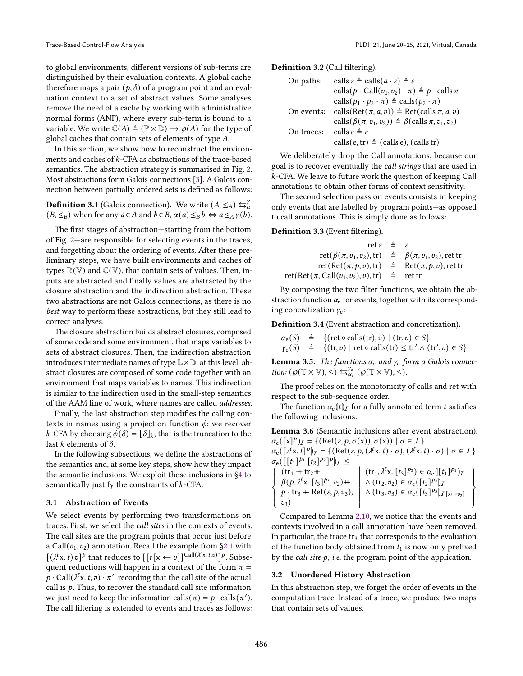to global environments, different versions of sub-terms are distinguished by their evaluation contexts. A global cache therefore maps a pair  $(p, \delta)$  of a program point and an evaluation context to a set of abstract values. Some analyses remove the need of a cache by working with administrative normal forms (ANF), where every sub-term is bound to a variable. We write  $\mathbb{C}(A) \triangleq (\mathbb{P} \times \mathbb{D}) \rightarrow \mathcal{O}(A)$  for the type of global caches that contain sets of elements of type  $A$ .

In this section, we show how to reconstruct the environments and caches of  $k$ -CFA as abstractions of the trace-based semantics. The abstraction strategy is summarised in Fig. [2.](#page-4-2) Most abstractions form Galois connections [\[3\]](#page-14-8). A Galois connection between partially ordered sets is defined as follows:

# **Definition 3.1** (Galois connection). We write  $(A, \leq_A) \leftrightarrows_{\alpha}^{\gamma}$  $(B, \leq_B)$  when for any  $a \in A$  and  $b \in B$ ,  $\alpha(a) \leq_B b \Leftrightarrow a \leq_A \gamma(b)$ .

The first stages of abstraction-starting from the bottom of Fig. 2—are responsible for selecting events in the traces, and forgetting about the ordering of events. After these preliminary steps, we have built environments and caches of types  $\mathbb{R}(\mathbb{V})$  and  $\mathbb{C}(\mathbb{V})$ , that contain sets of values. Then, inputs are abstracted and finally values are abstracted by the closure abstraction and the indirection abstraction. These two abstractions are not Galois connections, as there is no best way to perform these abstractions, but they still lead to correct analyses.

The closure abstraction builds abstract closures, composed of some code and some environment, that maps variables to sets of abstract closures. Then, the indirection abstraction introduces intermediate names of type  $\mathbb{L}\times\mathbb{D}$ : at this level, abstract closures are composed of some code together with an environment that maps variables to names. This indirection is similar to the indirection used in the small-step semantics of the AAM line of work, where names are called addresses.

Finally, the last abstraction step modifies the calling contexts in names using a projection function  $\phi$ : we recover  $k$ -CFA by choosing  $\phi(\delta) = \lfloor \delta \rfloor_k$ , that is the truncation to the last k elements of  $\delta$ .

In the following subsections, we define the abstractions of the semantics and, at some key steps, show how they impact the semantic inclusions. We exploit those inclusions in [ğ4](#page-8-0) to semantically justify the constraints of  $k$ -CFA.

#### <span id="page-5-0"></span>3.1 Abstraction of Events

We select events by performing two transformations on traces. First, we select the call sites in the contexts of events. The call sites are the program points that occur just before a Call( $v_1, v_2$ ) annotation. Recall the example from §2.1 with  $[(\lambda^{\ell}x. t)v]^p$  that reduces to  $[[t[x \leftarrow v]]^{Call(\lambda^{\ell}x. t, v)}]^p$ . Subsequent reductions will happen in a context of the form  $\pi$  =  $p \cdot \text{Call}(\lambda^{\ell} \text{x}, t, v) \cdot \pi',$  recording that the call site of the actual call is  $p$ . Thus, to recover the standard call site information we just need to keep the information calls $(\pi) = p \cdot \text{calls}(\pi')$ . The call filtering is extended to events and traces as follows:

Definition 3.2 (Call filtering).

| On paths:  | calls $\varepsilon \triangleq$ calls $(a \cdot \varepsilon) \triangleq \varepsilon$    |
|------------|----------------------------------------------------------------------------------------|
|            | calls $(p \cdot \text{Call}(v_1, v_2) \cdot \pi) \triangleq p \cdot \text{cells } \pi$ |
|            | calls $(p_1 \cdot p_2 \cdot \pi) \triangleq$ calls $(p_2 \cdot \pi)$                   |
| On events: | calls (Ret $(\pi, a, v)$ ) $\triangleq$ Ret(calls $\pi, a, v$ )                        |
|            | calls $(\beta(\pi, v_1, v_2)) \triangleq \beta$ (calls $\pi, v_1, v_2$ )               |
| On traces: | calls $\varepsilon \triangleq \varepsilon$                                             |
|            | calls(e, tr) $\triangleq$ (calls e), (calls tr)                                        |

We deliberately drop the Call annotations, because our goal is to recover eventually the call strings that are used in -CFA. We leave to future work the question of keeping Call annotations to obtain other forms of context sensitivity.

The second selection pass on events consists in keeping only events that are labelled by program points—as opposed to call annotations. This is simply done as follows:

#### Definition 3.3 (Event filtering).

| $\det \varepsilon = \varepsilon$                                         |                                         |
|--------------------------------------------------------------------------|-----------------------------------------|
| $ret(\beta(\pi, v_1, v_2), tr) \triangleq \beta(\pi, v_1, v_2)$ , ret tr |                                         |
| $ret(Ret(\pi, p, v), tr)$                                                | $\triangleq$ Ret $(\pi, p, v)$ , ret tr |
| $\mathrm{ret}(\mathsf{Ret}(\pi,\mathsf{Call}(v_1,v_2),v),\mathrm{tr})$   | $\triangleq$ ret tr                     |

By composing the two filter functions, we obtain the abstraction function  $\alpha_e$  for events, together with its corresponding concretization  $y_e$ :

Definition 3.4 (Event abstraction and concretization).

 $\alpha_{e}(S) \triangleq \{(\text{ret} \circ \text{ calls}(\text{tr}), v) \mid (\text{tr}, v) \in S\}$  $\gamma_{\rm e}(S)$   $\triangleq$  {(tr, v) | ret ∘ calls(tr)  $\leq$  tr' ∧ (tr', v)  $\in$  S}

**Lemma 3.5.** The functions  $\alpha_e$  and  $\gamma_e$  form a Galois connection:  $(\wp(\mathbb{T} \times \mathbb{V}), \leq) \leftrightarrows_{\alpha_e}^{\gamma_e} (\wp(\mathbb{T} \times \mathbb{V}), \leq).$ 

The proof relies on the monotonicity of calls and ret with respect to the sub-sequence order.

The function  $\alpha_{\rm e}(t)$  for a fully annotated term t satisfies the following inclusions:

Lemma 3.6 (Semantic inclusions after event abstraction).  $\alpha_{\mathbf{e}}([x]^p|_{\mathcal{I}} = \{ (\text{Ret}(\varepsilon, p, \sigma(x)), \sigma(x)) \mid \sigma \in \mathcal{I} \}$ 

 $\alpha_{\rm e}([ \lambda^{\ell} x, t]^{p} )_{\mathcal{I}} = \{ ({\rm Ret}(\varepsilon, p, (\lambda^{\ell} x, t) \cdot \sigma), (\lambda^{\ell} x, t) \cdot \sigma) \mid \sigma \in \mathcal{I} \}$  $\alpha_{e} \left( \left[ [t_1]^{p_1} [t_2]^{p_2} \right]^{p} \right) I \leq$  $\int$  $\overline{\mathcal{L}}$  $\overline{\phantom{a}}$  $(tr_1 + tr_2 +$  $\beta(p, \lambda^{\ell} x. [t_3]^{p_3}, v_2) +$  $p \cdot \text{tr}_3 + \text{Ret}(\varepsilon, p, v_3),$  $v_3)$ l  $(\text{tr}_1, \lambda^{\ell} \text{x} \ldotp [t_3]^{p_3}) \in \alpha_{e}([t_1]^{p_1})_{\mathcal{I}}$  $\wedge$   $(\text{tr}_2, v_2) \in \alpha_{\text{e}} \langle [t_2]^{p_2} \rangle_I$  $\wedge$  (tr<sub>3</sub>, v<sub>3</sub>) ∈  $\alpha_{e}$ ([t<sub>3</sub>]<sup>p<sub>3</sub></sup>)<sub>I</sub><sub>[x→v<sub>2</sub>]</sub>  $\overline{\mathcal{L}}$  $\int$  $\overline{ }$ 

Compared to Lemma [2.10,](#page-4-3) we notice that the events and contexts involved in a call annotation have been removed. In particular, the trace  $tr_3$  that corresponds to the evaluation of the function body obtained from  $t_1$  is now only prefixed by the *call site*  $p$ , *i.e.* the program point of the application.

#### <span id="page-5-1"></span>3.2 Unordered History Abstraction

In this abstraction step, we forget the order of events in the computation trace. Instead of a trace, we produce two maps that contain sets of values.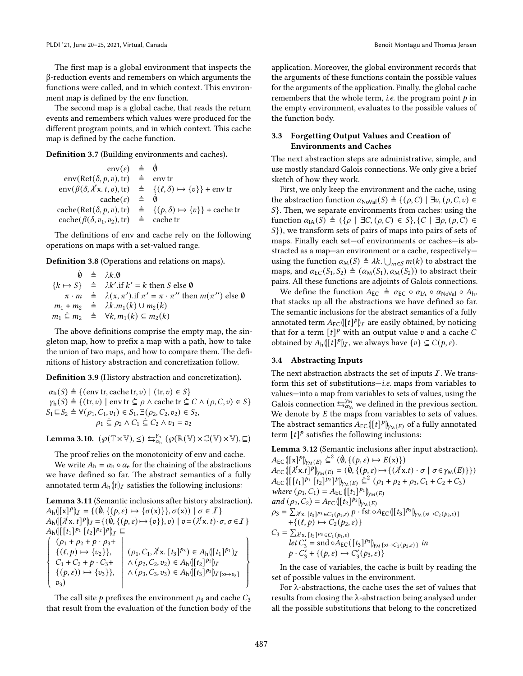The first map is a global environment that inspects the β-reduction events and remembers on which arguments the functions were called, and in which context. This environment map is defined by the env function.

The second map is a global cache, that reads the return events and remembers which values were produced for the different program points, and in which context. This cache map is defined by the cache function.

Definition 3.7 (Building environments and caches).

| $env(\varepsilon) \triangleq \dot{\emptyset}$                                                                        |                                                                                                                  |
|----------------------------------------------------------------------------------------------------------------------|------------------------------------------------------------------------------------------------------------------|
| $env(Ret(\delta, p, v), tr) \triangleq$                                                                              | env tr                                                                                                           |
|                                                                                                                      | $env(\beta(\delta, \lambda^{\ell} x, t, v), tr) \triangleq \{(\ell, \delta) \mapsto \{v\}\}$ + env tr            |
| $\operatorname{cache}(\varepsilon) \triangleq$                                                                       | - 0                                                                                                              |
|                                                                                                                      | $\text{cache}(\text{Ret}(\delta, p, v), \text{tr}) \triangleq \{ (p, \delta) \mapsto \{v\} \} + \text{cache tr}$ |
| $\operatorname{cache}(\beta(\delta, v_1, v_2), \operatorname{tr}) \triangleq \operatorname{cache} \operatorname{tr}$ |                                                                                                                  |

The definitions of env and cache rely on the following operations on maps with a set-valued range.

Definition 3.8 (Operations and relations on maps).

 $\dot{\emptyset}$   $\triangleq$   $\lambda k. \emptyset$  ${k \mapsto S}$   $\triangleq \lambda k'$ . if  $k' = k$  then S else Ø  $\pi \cdot m \stackrel{\triangle}{=} \lambda(x, \pi')$ .if  $\pi' = \pi \cdot \pi''$  then  $m(\pi'')$  else Ø  $m_1 + m_2 \triangleq \lambda k.m_1(k) \cup m_2(k)$  $m_1 \subseteq m_2 \triangleq \forall k, m_1(k) \subseteq m_2(k)$ 

The above definitions comprise the empty map, the singleton map, how to prefix a map with a path, how to take the union of two maps, and how to compare them. The definitions of history abstraction and concretization follow.

Definition 3.9 (History abstraction and concretization).

$$
\alpha_h(S) \triangleq \{ (\text{env tr}, \text{cache tr}, v) \mid (\text{tr}, v) \in S \}
$$
\n
$$
\gamma_h(S) \triangleq \{ (\text{tr}, v) \mid \text{env tr } \subseteq \rho \land \text{cache tr } \subseteq C \land (\rho, C, v) \in S \}
$$
\n
$$
S_1 \sqsubseteq S_2 \triangleq \forall (\rho_1, C_1, v_1) \in S_1, \exists (\rho_2, C_2, v_2) \in S_2,
$$
\n
$$
\rho_1 \subseteq \rho_2 \land C_1 \subseteq C_2 \land v_1 = v_2
$$

Lemma 3.10.  $(\wp(\mathbb{T} \times \mathbb{V}), \leq) \leftrightarrows_{\alpha_h}^{\gamma_h} (\wp(\mathbb{R}(\mathbb{V}) \times \mathbb{C}(\mathbb{V}) \times \mathbb{V}), \sqsubseteq)$ 

The proof relies on the monotonicity of env and cache.

We write  $A_h = \alpha_h \circ \alpha_e$  for the chaining of the abstractions we have defined so far. The abstract semantics of a fully annotated term  $A_h(t)$  satisfies the following inclusions:

Lemma 3.11 (Semantic inclusions after history abstraction).  $A_h([x]^p)_I = \{(\emptyset, \{(p, \varepsilon) \mapsto \{\sigma(x)\}\}, \sigma(x)) \mid \sigma \in I\}$  $A_h([{\lambda}^{\ell} x, t]^p)_I = \{(\dot{0}, \{(p, \varepsilon) \mapsto \{v\}\}, v) \mid v = ({\lambda}^{\ell} x, t) \cdot \sigma, \sigma \in I\}$  $A_h \left( [[t_1]^{p_1} [t_2]^{p_2}]^p \right)$ *[*  $\sqsubseteq$  $\int$  $\overline{\phantom{a}}$  $\overline{\phantom{a}}$  $(\rho_1 + \rho_2 + p \cdot \rho_3 +$  $\{(\ell,p)\mapsto \{v_2\}\},\$  $C_1 + C_2 + p \cdot C_3 +$  $\{(p, \varepsilon)) \mapsto \{v_3\}\},\$  $v_3)$   $(\rho_1, C_1, \lambda^{\ell} \mathbf{x}, [t_3]^{p_3}) \in A_{h}([t_1]^{p_1})_{\mathcal{I}}$  $\wedge (\rho_2, C_2, v_2) \in A_{\rm h}(\llbracket t_2 \rrbracket^{p_2})_I$  $\wedge (\rho_3, C_3, v_3) \in A_{h}([t_3]^{p_3})_{\mathcal{I}[x \mapsto v_2]}$  $\begin{array}{c} \hline \end{array}$  $\begin{matrix} \end{matrix}$  $\overline{ }$ 

The call site  $p$  prefixes the environment  $\rho_3$  and cache  $C_3$ that result from the evaluation of the function body of the

application. Moreover, the global environment records that the arguments of these functions contain the possible values for the arguments of the application. Finally, the global cache remembers that the whole term, *i.e.* the program point  $p$  in the empty environment, evaluates to the possible values of the function body.

### <span id="page-6-0"></span>3.3 Forgetting Output Values and Creation of Environments and Caches

The next abstraction steps are administrative, simple, and use mostly standard Galois connections. We only give a brief sketch of how they work.

First, we only keep the environment and the cache, using the abstraction function  $\alpha_{\text{NoVal}}(S) \triangleq \{(\rho, C) \mid \exists v, (\rho, C, v) \in$  $S$ }. Then, we separate environments from caches: using the function  $\alpha_{I\mathcal{A}}(S) \triangleq (\{\rho \mid \exists C, (\rho, C) \in S\}, \{C \mid \exists \rho, (\rho, C) \in S\})$  $S$ }), we transform sets of pairs of maps into pairs of sets of maps. Finally each set—of environments or caches—is abstracted as a map-an environment or a cache, respectivelyusing the function  $\alpha_M(S) \triangleq \lambda k$ .  $\bigcup_{m \in S} m(k)$  to abstract the maps, and  $\alpha_{EC}(S_1, S_2) \triangleq (\alpha_M(S_1), \alpha_M(S_2))$  to abstract their pairs. All these functions are adjoints of Galois connections.

We define the function  $A_{EC} \triangleq \alpha_{EC} \circ \alpha_{IA} \circ \alpha_{NoVal} \circ A_h$ , that stacks up all the abstractions we have defined so far. The semantic inclusions for the abstract semantics of a fully annotated term  $A_{EC}(\llbracket t \rrbracket^p)_I$  are easily obtained, by noticing that for a term  $[t]^p$  with an output value v and a cache C obtained by  $A_h([t]^p)_I$ , we always have  $\{v\} \subseteq C(p, \varepsilon)$ .

### <span id="page-6-1"></span>3.4 Abstracting Inputs

The next abstraction abstracts the set of inputs  $\overline{I}$ . We transform this set of substitutions $-i.e.$  maps from variables to values-into a map from variables to sets of values, using the Galois connection  $\leftrightarrows_{\alpha_M}^{y_M}$  we defined in the previous section. We denote by  $E$  the maps from variables to sets of values. The abstract semantics  $A_{\mathsf{EC}}(\llbracket t \rrbracket^p)_{\gamma_{\mathsf{M}}(E)}$  of a fully annotated term  $[t]^p$  satisfies the following inclusions:

<span id="page-6-2"></span>Lemma 3.12 (Semantic inclusions after input abstraction).  $A_{\text{EC}}([x]^{p}]_{\gamma_{\text{M}}(E)} \leq^{2} (\dot{\emptyset}, \{(p, \varepsilon) \mapsto E(x)\})$ 

 $A_{EC}([\lambda^{\ell} x.t]^p]_{\gamma_M(E)} = (\emptyset, \{ (p, \varepsilon) \mapsto \{ (\lambda^{\ell} x.t) \cdot \sigma \mid \sigma \in \gamma_M(E) \} \})$  $A_{EC}([[t_1]^{p_1} [t_2]^{p_2}]^p)_{\gamma_M(E)} \leq^2 (\rho_1 + \rho_2 + \rho_3, C_1 + C_2 + C_3)$ where  $(\rho_1, C_1) = A_{EC} (\iint_l t_1]^{p_1} \psi_{M(E)}$ and  $(\rho_2, C_2) = A_{EC} (\frac{t_2}{p_2})_{\gamma_M(E)}$  $\rho_3 = \sum_{\lambda \{k \}} \sum_{[t_3]^{p_3} \in C_1(p_1,\varepsilon)} p \cdot \text{fst} \circ A_{\text{EC}} (\llbracket t_3 \rrbracket^{p_3})_{y_{\text{M}} \{x \mapsto C_2(p_2,\varepsilon)\}}$  $+\{(\ell,p)\mapsto C_2(p_2,\varepsilon)\}\;$  $C_3 = \sum_{\lambda^{\ell} \mathsf{x}. [t_3]^{p_3} \in C_1(p_1,\varepsilon)}$ let  $C'_3$  = snd  $\circ A_{EC}([t_3]^{p_3})_{y_M\{x\mapsto C_2(p_2,\varepsilon)\}}$  in

 $p \cdot C'_3 + \{(p, \varepsilon) \mapsto C'_3(p_3, \varepsilon)\}$ In the case of variables, the cache is built by reading the set of possible values in the environment.

For λ-abstractions, the cache uses the set of values that results from closing the λ-abstraction being analysed under all the possible substitutions that belong to the concretized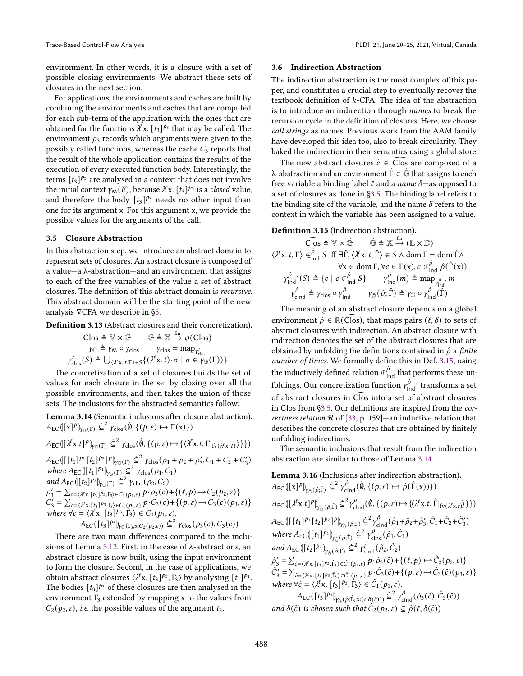environment. In other words, it is a closure with a set of possible closing environments. We abstract these sets of closures in the next section.

For applications, the environments and caches are built by combining the environments and caches that are computed for each sub-term of the application with the ones that are obtained for the functions  $\lambda^{\ell}$ x.  $[t_3]^{p_3}$  that may be called. The environment  $\rho_3$  records which arguments were given to the possibly called functions, whereas the cache  $C_3$  reports that the result of the whole application contains the results of the execution of every executed function body. Interestingly, the terms  $[t_3]^{p_3}$  are analysed in a context that does not involve the initial context  $\gamma_\mathsf{M}(E)$ , because  $\lambda^\ell$ x.  $[t_3]^{p_3}$  is a *closed* value, and therefore the body  $[t_3]^{p_3}$  needs no other input than one for its argument x. For this argument x, we provide the possible values for the arguments of the call.

### <span id="page-7-0"></span>3.5 Closure Abstraction

In this abstraction step, we introduce an abstract domain to represent sets of closures. An abstract closure is composed of a value $-a \lambda$ -abstraction—and an environment that assigns to each of the free variables of the value a set of abstract closures. The definition of this abstract domain is recursive. This abstract domain will be the starting point of the new analysis ∇CFA we describe in [ğ5.](#page-9-0)

<span id="page-7-5"></span>Definition 3.13 (Abstract closures and their concretization).

$$
\begin{array}{ccc}\n\text{Clos} & \triangleq \mathbb{V} \times \mathbb{G} & \mathbb{G} \triangleq \mathbb{X} \xrightarrow{\text{fin}} \wp(\text{Clos}) \\
\gamma \mathbb{G} & \triangleq \gamma \mathbb{M} \circ \gamma \mathbb{G} \circ \mathbb{H} & \gamma \mathbb{G} \circ \mathbb{H} \\
\gamma \mathbb{G} \circ \mathbb{H} & \gamma \mathbb{G} \circ \mathbb{H} \\
\gamma \mathbb{G} \circ \mathbb{H} & \forall \mathbb{G} \circ \mathbb{H} \\
\gamma \mathbb{G} \circ \mathbb{H} & \forall \mathbb{G} \circ \mathbb{H} \\
\gamma \mathbb{G} \circ \mathbb{H} & \forall \mathbb{G} \circ \mathbb{H} \\
\gamma \mathbb{G} \circ \mathbb{H} & \forall \mathbb{G} \circ \mathbb{H} \\
\gamma \mathbb{G} \circ \mathbb{H} & \forall \mathbb{G} \circ \mathbb{H} \\
\gamma \mathbb{G} \circ \mathbb{H} & \forall \mathbb{G} \circ \mathbb{H} \\
\gamma \mathbb{G} \circ \mathbb{H} & \forall \mathbb{G} \circ \mathbb{H} \\
\gamma \mathbb{G} \circ \mathbb{H} & \forall \mathbb{G} \circ \mathbb{H} \\
\gamma \mathbb{G} \circ \mathbb{H} & \forall \mathbb{G} \circ \mathbb{H} \\
\gamma \mathbb{G} \circ \mathbb{H} & \forall \mathbb{G} \circ \mathbb{H} \\
\gamma \mathbb{G} \circ \mathbb{H} & \forall \mathbb{G} \circ \mathbb{H} \\
\gamma \mathbb{G} \circ \mathbb{H} & \forall \mathbb{G} \circ \mathbb{H} \\
\gamma \mathbb{G} \circ \mathbb{H} & \forall \mathbb{G} \circ \mathbb{H} \\
\gamma \mathbb{G} \circ \mathbb{H} & \forall \mathbb{G} \circ \mathbb{H} \\
\gamma \mathbb{G} \circ \mathbb{H} & \forall \mathbb{G} \circ \mathbb{H} \\
\gamma \mathbb{G} \circ \mathbb{H} & \forall \mathbb{G} \circ \mathbb{H} \\
\gamma \mathbb{G} \circ \mathbb{H} &
$$

The concretization of a set of closures builds the set of values for each closure in the set by closing over all the possible environments, and then takes the union of those sets. The inclusions for the abstracted semantics follow:

<span id="page-7-3"></span>Lemma 3.14 (Semantic inclusions after closure abstraction).  $A_{\text{EC}}([x]^{p}]_{\gamma_{\mathbb{G}}(\Gamma)} \leq^{2} \gamma_{\text{clos}}(\dot{\emptyset}, \{(p, \varepsilon) \mapsto \Gamma(x)\})$ 

$$
A_{\mathsf{EC}}([{\lambda}^{\ell}\mathbf{x}.t]^p|_{{\gamma}_{\mathbb{G}}(\Gamma)} \leq^2 {\gamma}_{\text{clos}}(\dot{\emptyset}, \{ (p, \varepsilon) \mapsto {\{\langle \lambda^{\ell}\mathbf{x}.t, \Gamma|_{\text{fv}(\lambda^{\ell}\mathbf{x}.t)} \rangle \}}\})
$$

 $A_{\text{EC}}([t_1]^{p_1}[t_2]^{p_2}]^{p}|_{Y_{\text{C}}(\Gamma)} \leq \frac{2}{\pi^2} \gamma_{\text{clos}}(\rho_1 + \rho_2 + \rho'_3, C_1 + C_2 + C'_3)$ where  $A_{EC}(\left[1_1\right]^{p_1})_{Y \subseteq (\Gamma)} \subseteq^2 Y_{\text{clos}}(\rho_1, C_1)$ and  $A_{EC}(\left[\begin{matrix}t_2\end{matrix}\right]^{p_2})_{\gamma\in(\Gamma)} \subseteq^2 \gamma_{\text{clos}}(\rho_2, C_2)$  $\rho'_{3} = \sum_{c=(\lambda^{l}x,[t_{3}]^{p_{3}},F_{3}) \in C_{1}(p_{1},\varepsilon)} p \cdot \rho_{3}(c) + \{(l,p) \mapsto C_{2}(p_{2},\varepsilon)\}\n$  $C'_3 = \sum_{c=\langle \lambda^{\ell}x,[t_3]^{p_3},F_3\rangle \in C_1(p_1,\varepsilon)}^{\langle x,y,[t_3]^{p_3},F_3\rangle \in C_1(p_1,\varepsilon)} P \cdot C_3(c) + \{(p,\varepsilon) \mapsto C_3(c)(p_3,\varepsilon)\}$ where  $\forall c = \langle \lambda^{\ell} \mathbf{x}, [t_3]^{p_3}, F_3 \rangle \in C_1(p_1, \varepsilon),$  $A_{EC}([t_3]^{p_3})_{y_{G}(\Gamma_3,x:C_2(p_2,\varepsilon))} \leq^2 \gamma_{\text{clos}}(\rho_3(c),C_3(c))$ 

There are two main differences compared to the inclusions of Lemma [3.12.](#page-6-2) First, in the case of λ-abstractions, an abstract closure is now built, using the input environment to form the closure. Second, in the case of applications, we obtain abstract closures  $\langle \lambda^{\ell} x. [t_3]^{p_3}, \Gamma_3 \rangle$  by analysing  $[t_1]^{p_1}$ . The bodies  $[t_3]^{p_3}$  of these closures are then analysed in the environment  $\Gamma_3$  extended by mapping x to the values from  $C_2(p_2, \varepsilon)$ , *i.e.* the possible values of the argument  $t_2$ .

#### <span id="page-7-1"></span>3.6 Indirection Abstraction

The indirection abstraction is the most complex of this paper, and constitutes a crucial step to eventually recover the textbook definition of  $k$ -CFA. The idea of the abstraction is to introduce an indirection through names to break the recursion cycle in the definition of closures. Here, we choose call strings as names. Previous work from the AAM family have developed this idea too, also to break circularity. They baked the indirection in their semantics using a global store.

The new abstract closures  $\hat{c} \in \mathsf{C}$  are composed of a λ-abstraction and an environment  $\hat{\Gamma} \in \hat{\mathbb{G}}$  that assigns to each free variable a binding label  $\ell$  and a *name*  $\delta$ —as opposed to a set of closures as done in [ğ3.5.](#page-7-0) The binding label refers to the binding site of the variable, and the name  $\delta$  refers to the context in which the variable has been assigned to a value.

### <span id="page-7-2"></span>Definition 3.15 (Indirection abstraction).

$$
\widehat{\mathcal{C}\text{los}} \triangleq \mathbb{V} \times \widehat{\mathbb{G}} \qquad \widehat{\mathbb{G}} \triangleq \mathbb{X} \stackrel{\text{fin}}{\rightarrow} (\mathbb{L} \times \mathbb{D})
$$
\n
$$
\langle \lambda^{\ell} x. t, \Gamma \rangle \in \widehat{f}_{\text{Ind}}^{\hat{\rho}} S \text{ iff } \exists \widehat{\Gamma}, \langle \lambda^{\ell} x. t, \widehat{\Gamma} \rangle \in S \land \text{dom } \Gamma = \text{dom } \widehat{\Gamma} \land
$$
\n
$$
\forall x \in \text{dom } \Gamma, \forall c \in \Gamma(x), c \in \widehat{f}_{\text{Ind}}^{\hat{\rho}} \hat{\rho}(\widehat{\Gamma}(x))
$$
\n
$$
\gamma_{\text{Ind}}^{\hat{\rho}}'(S) \triangleq \{c \mid c \in \widehat{f}_{\text{Ind}}^{\hat{\rho}} S\} \qquad \gamma_{\text{Ind}}^{\hat{\rho}}(m) \triangleq \text{map}_{\gamma_{\text{Ind}}^{\hat{\rho}}}, m
$$
\n
$$
\gamma_{\text{cInd}}^{\hat{\rho}} \triangleq \gamma_{\text{clos}} \circ \gamma_{\text{Ind}}^{\hat{\rho}} \qquad \gamma_{\mathbb{G}}(\hat{\rho}; \widehat{\Gamma}) \triangleq \gamma_{\mathbb{G}} \circ \gamma_{\text{Ind}}^{\hat{\rho}}(\widehat{\Gamma})
$$

The meaning of an abstract closure depends on a global environment  $\hat{\rho} \in \mathbb{R}(\text{Clos})$ , that maps pairs  $(\ell, \delta)$  to sets of abstract closures with indirection. An abstract closure with indirection denotes the set of the abstract closures that are obtained by unfolding the definitions contained in  $\hat{\rho}$  a finite number of times. We formally define this in Def. [3.15,](#page-7-2) using the inductively defined relation  $\in_{\mathsf{Ind}}^{\hat{\rho}}$  that performs these unfoldings. Our concretization function  $\gamma_{\rm tr}^{\hat{\rho}}$  $\frac{\dot{\rho}}{\rho}$ ' transforms a set of abstract closures in Clos into a set of abstract closures in Clos from [ğ3.5.](#page-7-0) Our definitions are inspired from the correctness relation  $R$  of [\[33,](#page-15-3) p. 159]—an inductive relation that describes the concrete closures that are obtained by finitely unfolding indirections.

The semantic inclusions that result from the indirection abstraction are similar to those of Lemma [3.14.](#page-7-3)

<span id="page-7-4"></span>**Lemma 3.16** (Inclusions after indirection abstraction).  
\n
$$
A_{EC}(\lceil x \rceil^p)_{\gamma_{\hat{G}}(\hat{\rho};\hat{\Gamma})} \leq^2 \gamma_{\text{cInd}}^{\hat{\rho}}(\hat{\theta}, \{(p, \varepsilon) \mapsto \hat{\rho}(\hat{\Gamma}(x))\})
$$
\n
$$
A_{EC}(\lceil \lambda^{\ell} x.t \rceil^{p})_{\gamma_{\hat{G}}(\hat{\rho};\hat{\Gamma})} \leq^2 \gamma_{\text{cInd}}^{\hat{\rho}}(\hat{\theta}, \{(p, \varepsilon) \mapsto \{\langle \lambda^{\ell} x.t, \hat{\Gamma}|_{fv(\lambda^{\ell} x.t)} \rangle\}\})
$$
\n
$$
A_{EC}(\lceil [t_1]^{p_1} [t_2]^{p_2}]^{p} \big|_{\gamma_{\hat{G}}(\hat{\rho};\hat{\Gamma})} \leq^2 \gamma_{\text{cInd}}^{\hat{\rho}}(\hat{\rho}_1 + \hat{\rho}_2 + \hat{\rho}_3', \hat{C}_1 + \hat{C}_2 + \hat{C}_3')
$$
\nwhere  $A_{EC}(\lceil [t_1]^{p_1}]_{\gamma_{\hat{G}}(\hat{\rho};\hat{\Gamma})} \leq^2 \gamma_{\text{cInd}}^{\hat{\rho}}(\hat{\rho}_1, \hat{C}_1)$   
\nand  $A_{EC}(\lceil [t_2]^{p_2}]_{\gamma_{\hat{G}}(\hat{\rho};\hat{\Gamma})} \leq^2 \gamma_{\text{cInd}}^{\hat{\rho}}(\hat{\rho}_2, \hat{C}_2)$   
\n $\hat{\rho}_3' = \sum_{\hat{c}=(\lambda^{\ell} x, [t_3]^{p_3}, \hat{\Gamma}_3) \in \hat{C}_1(p_1, \varepsilon)} \hat{P} \cdot \hat{\rho}_3(\hat{c}) + \{(\ell, p) \mapsto \hat{C}_2(p_2, \varepsilon)\}$   
\n $\hat{C}_3' = \sum_{\hat{c}=(\lambda^{\ell} x, [t_3]^{p_3}, \hat{\Gamma}_3) \in \hat{C}_1(p_1, \varepsilon)} \hat{P} \cdot \hat{C}_3(\hat{c}) + \{(\rho, \varepsilon) \mapsto \hat{C}_3(\hat{c})(p_3, \varepsilon)\}$   
\nwhere  $\forall \hat{c} = \langle \$ 

 $A_{\text{EC}}([t_3]^{p_3}]_{\gamma_{\hat{\mathbb{G}}}(\hat{\rho};\hat{\Gamma}_3,\mathsf{x}:(\ell,\delta(\hat{c})))} \subseteq^2 \gamma_{\text{clnd}}^{\hat{\rho}}(\hat{\rho}_3(\hat{c}),\hat{C}_3(\hat{c}))$ and  $\delta(\hat{c})$  is chosen such that  $\hat{C}_2(p_2, \varepsilon) \subseteq \hat{\rho}(\ell, \delta(\hat{c}))$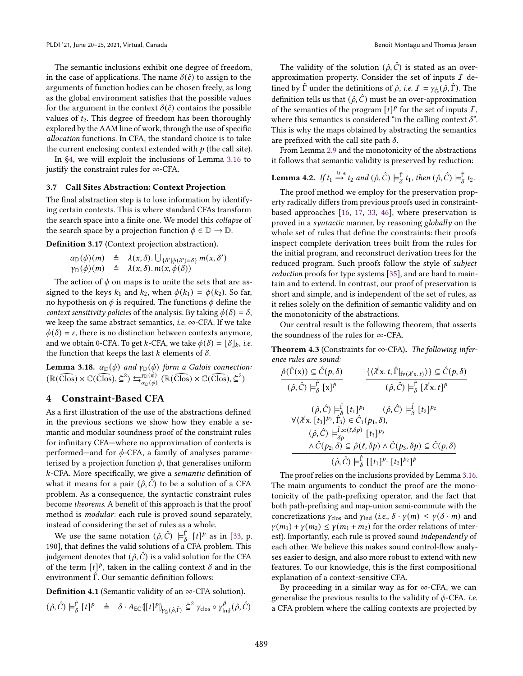The semantic inclusions exhibit one degree of freedom, in the case of applications. The name  $\delta(\hat{c})$  to assign to the arguments of function bodies can be chosen freely, as long as the global environment satisfies that the possible values for the argument in the context  $\delta(\hat{c})$  contains the possible values of  $t_2$ . This degree of freedom has been thoroughly explored by the AAM line of work, through the use of specific allocation functions. In CFA, the standard choice is to take the current enclosing context extended with  $p$  (the call site).

In [ğ4,](#page-8-0) we will exploit the inclusions of Lemma [3.16](#page-7-4) to justify the constraint rules for ∞-CFA.

#### <span id="page-8-2"></span>3.7 Call Sites Abstraction: Context Projection

The final abstraction step is to lose information by identifying certain contexts. This is where standard CFAs transform the search space into a finite one. We model this collapse of the search space by a projection function  $\phi \in \mathbb{D} \to \mathbb{D}$ .

Definition 3.17 (Context projection abstraction).

$$
\alpha_{\mathbb{D}}(\phi)(m) \triangleq \lambda(x,\delta) \cup_{\{\delta'|\phi(\delta')=\delta\}} m(x,\delta')
$$
  

$$
\gamma_{\mathbb{D}}(\phi)(m) \triangleq \lambda(x,\delta) \cdot m(x,\phi(\delta))
$$

The action of  $\phi$  on maps is to unite the sets that are assigned to the keys  $k_1$  and  $k_2$ , when  $\phi(k_1) = \phi(k_2)$ . So far, no hypothesis on  $\phi$  is required. The functions  $\phi$  define the context sensitivity policies of the analysis. By taking  $\phi(\delta) = \delta$ , we keep the same abstract semantics, i.e.  $\infty$ -CFA. If we take  $\phi(\delta) = \varepsilon$ , there is no distinction between contexts anymore, and we obtain 0-CFA. To get k-CFA, we take  $\phi(\delta) = [\delta]_k$ , i.e. the function that keeps the last  $k$  elements of  $\delta$ .

**Lemma 3.18.**  $\alpha_{\mathbb{D}}(\phi)$  and  $\gamma_{\mathbb{D}}(\phi)$  form a Galois connection:  $(\mathbb{R}(\widehat{\text{Clos}}) \times \mathbb{C}(\widehat{\text{Clos}}), \dot{\subseteq}^2) \leftrightarrows_{\alpha_{\text{D}}(\phi)}^{\gamma_{\text{D}}(\phi)}$  $\frac{\gamma_{\mathbb{D}}(\phi)}{\alpha_{\mathbb{D}}(\phi)}$  (R(Clos)  $\times$  C(Clos),  $\subseteq$ <sup>2</sup>)

### <span id="page-8-0"></span>4 Constraint-Based CFA

As a first illustration of the use of the abstractions defined in the previous sections we show how they enable a semantic and modular soundness proof of the constraint rules for infinitary CFA—where no approximation of contexts is performed—and for  $\phi$ -CFA, a family of analyses parameterised by a projection function  $\phi$ , that generalises uniform -CFA. More specifically, we give a semantic definition of what it means for a pair  $(\hat{\rho}, \hat{C})$  to be a solution of a CFA problem. As a consequence, the syntactic constraint rules become theorems. A benefit of this approach is that the proof method is modular: each rule is proved sound separately, instead of considering the set of rules as a whole.

We use the same notation  $(\hat{\rho}, \hat{C}) \models^{\hat{\Gamma}}_{\hat{\delta}}$  $\int_{\delta}^{\Gamma} [t]^p$  as in [\[33,](#page-15-3) p. 190], that defines the valid solutions of a CFA problem. This judgement denotes that  $(\hat{\rho}, \hat{C})$  is a valid solution for the CFA of the term  $[t]^p$ , taken in the calling context  $\delta$  and in the environment Γˆ. Our semantic definition follows:

<span id="page-8-3"></span>**Definition 4.1** (Semantic validity of an  $\infty$ -CFA solution).

$$
(\hat{\rho}, \hat{C}) \models^{\hat{\Gamma}}_{\delta} [t]^p \triangleq \delta \cdot A_{\text{EC}}([t]^p)_{\gamma_{\hat{C}}(\hat{\rho}, \hat{\Gamma})} \subseteq^2 \gamma_{\text{clos}} \circ \gamma_{\text{Ind}}^{\hat{\rho}}(\hat{\rho}, \hat{C})
$$

The validity of the solution  $(\hat{\rho}, \hat{C})$  is stated as an overapproximation property. Consider the set of inputs  $I$  defined by  $\Gamma$  under the definitions of  $\hat{\rho}$ , *i.e.*  $\mathcal{I} = \gamma_{\hat{\sigma}}(\hat{\rho}, \Gamma)$ . The definition tells us that  $(\hat{\rho}, \hat{C})$  must be an over-approximation of the semantics of the program  $[t]^p$  for the set of inputs  $I$ , where this semantics is considered "in the calling context  $\delta$ ". This is why the maps obtained by abstracting the semantics are prefixed with the call site path  $\delta$ .

From Lemma [2.9](#page-4-1) and the monotonicity of the abstractions it follows that semantic validity is preserved by reduction:

#### <span id="page-8-1"></span>**Lemma 4.2.** If  $t_1 \stackrel{\text{tr}}{\rightarrow} t_2$  and  $(\hat{\rho}, \hat{C}) \models^{\hat{\Gamma}}_{\delta}$  $\hat{\Gamma}_{\delta}$  t<sub>1</sub>, then  $(\hat{\rho}, \hat{C}) \models^{\hat{\Gamma}}_{\delta}$  $\frac{1}{\delta}$  t<sub>2</sub>.

The proof method we employ for the preservation property radically differs from previous proofs used in constraintbased approaches [\[16,](#page-14-2) [17,](#page-14-10) [33,](#page-15-3) [46\]](#page-15-4), where preservation is proved in a syntactic manner, by reasoning globally on the whole set of rules that define the constraints: their proofs inspect complete derivation trees built from the rules for the initial program, and reconstruct derivation trees for the reduced program. Such proofs follow the style of subject reduction proofs for type systems [\[35\]](#page-15-8), and are hard to maintain and to extend. In contrast, our proof of preservation is short and simple, and is independent of the set of rules, as it relies solely on the definition of semantic validity and on the monotonicity of the abstractions.

Our central result is the following theorem, that asserts the soundness of the rules for ∞-CFA.

Theorem 4.3 (Constraints for  $\infty$ -CFA). The following inference rules are sound:

$$
\frac{\hat{\rho}(\hat{\Gamma}(x)) \subseteq \hat{C}(p,\delta)}{(\hat{\rho}, \hat{C}) \models_{\delta}^{\hat{\Gamma}} [x]^p} \qquad \frac{\{\langle \lambda^{\ell}x. t, \hat{\Gamma}|_{f\vee(\lambda^{\ell}x. t)} \rangle\} \subseteq \hat{C}(p,\delta)}{(\hat{\rho}, \hat{C}) \models_{\delta}^{\hat{\Gamma}} [\lambda^{\ell}x. t]^p}
$$
\n
$$
\frac{\langle \hat{\rho}, \hat{C} \rangle \models_{\delta}^{\hat{\Gamma}} [t_1]^{p_1}}{\langle \hat{\rho}, \hat{C} \rangle \models_{\delta}^{\hat{\Gamma}} [\lambda^{\ell}x. t]^p}
$$
\n
$$
\frac{\langle \hat{\rho}, \hat{C} \rangle \models_{\delta}^{\hat{\Gamma}} [t_1]^{p_1}}{\langle \hat{\rho}, \hat{C} \rangle \models_{\delta}^{\hat{\Gamma}} [t_2]^{p_2}}
$$
\n
$$
\frac{\langle \hat{\rho}, \hat{C} \rangle \models_{\delta}^{\hat{\Gamma}} \langle x : (\ell, \delta p) \rangle \in \hat{C}(p_1, \delta)}{\langle \hat{\rho}, \hat{C} \rangle \models_{\delta}^{\hat{\Gamma}} [t_1]^{p_1} [t_2]^{p_2}]^p}
$$

The proof relies on the inclusions provided by Lemma [3.16.](#page-7-4) The main arguments to conduct the proof are the monotonicity of the path-prefixing operator, and the fact that both path-prefixing and map-union semi-commute with the concretizations  $\gamma_{\text{clos}}$  and  $\gamma_{\text{Ind}}$  (i.e.,  $\delta \cdot \gamma(m) \leq \gamma(\delta \cdot m)$  and  $\gamma(m_1) + \gamma(m_2) \leq \gamma(m_1 + m_2)$  for the order relations of interest). Importantly, each rule is proved sound independently of each other. We believe this makes sound control-flow analyses easier to design, and also more robust to extend with new features. To our knowledge, this is the first compositional explanation of a context-sensitive CFA.

By proceeding in a similar way as for  $\infty$ -CFA, we can generalise the previous results to the validity of  $\phi$ -CFA, *i.e.* a CFA problem where the calling contexts are projected by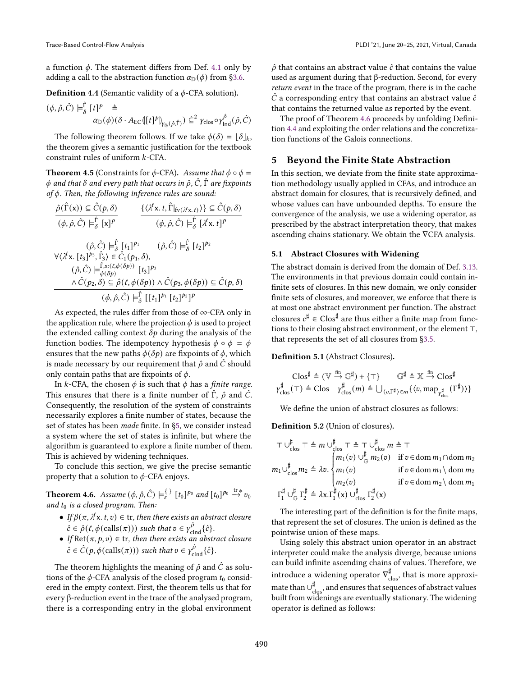a function  $\phi$ . The statement differs from Def. [4.1](#page-8-3) only by adding a call to the abstraction function  $\alpha_{\mathbb{D}}(\phi)$  from §3.6.

<span id="page-9-2"></span>**Definition 4.4** (Semantic validity of a  $\phi$ -CFA solution).

$$
(\phi, \hat{\rho}, \hat{C}) \models_{\delta}^{\hat{\Gamma}} [t]^p \triangleq \alpha_{\mathbb{D}}(\phi)(\delta \cdot A_{\mathsf{EC}}([t]^p)_{\gamma_{\hat{\mathbb{G}}}(\hat{\rho}, \hat{\Gamma})}) \subseteq^2 \gamma_{\text{clos}} \circ \gamma_{\text{Ind}}^{\hat{\rho}}(\hat{\rho}, \hat{C})
$$

The following theorem follows. If we take  $\phi(\delta) = \lfloor \delta \rfloor_k$ , the theorem gives a semantic justification for the textbook constraint rules of uniform  $k$ -CFA.

**Theorem 4.5** (Constraints for  $\phi$ -CFA). Assume that  $\phi \circ \phi =$  $\phi$  and that  $\delta$  and every path that occurs in  $\hat{\rho}$ ,  $\hat{C}$ ,  $\hat{\Gamma}$  are fixpoints of  $\phi$ . Then, the following inference rules are sound:

$$
\frac{\hat{\rho}(\hat{\Gamma}(\mathbf{x})) \subseteq \hat{C}(p,\delta)}{(\phi,\hat{\rho},\hat{C}) \models_{\delta}^{\hat{\Gamma}} [\mathbf{x}]^{p}} \qquad \frac{\{\langle \lambda^{\ell}\mathbf{x}. t, \hat{\Gamma}|_{\text{fv}(\lambda^{\ell}\mathbf{x}.t)} \rangle\} \subseteq \hat{C}(p,\delta)}{(\phi,\hat{\rho},\hat{C}) \models_{\delta}^{\hat{\Gamma}} [\lambda^{\ell}\mathbf{x}. t]^{p}}
$$
\n
$$
(\hat{\rho},\hat{C}) \models_{\delta}^{\hat{\Gamma}} [t_{1}]^{p_{1}} \qquad (\hat{\rho},\hat{C}) \models_{\delta}^{\hat{\Gamma}} [t_{2}]^{p_{2}}
$$
\n
$$
\forall \langle \lambda^{\ell}\mathbf{x}. [t_{3}]^{p_{3}}, \hat{\Gamma}_{3} \rangle \in \hat{C}_{1}(p_{1},\delta),
$$
\n
$$
(\hat{\rho},\hat{C}) \models_{\phi(\delta p)}^{\hat{\Gamma}\mathbf{x}: (\ell,\phi(\delta p))} [t_{3}]^{p_{3}}
$$
\n
$$
\frac{\wedge \hat{C}(p_{2},\delta) \subseteq \hat{\rho}(\ell,\phi(\delta p)) \wedge \hat{C}(p_{3},\phi(\delta p)) \subseteq \hat{C}(p,\delta)}{(\phi,\hat{\rho},\hat{C}) \models_{\delta}^{\hat{\Gamma}} [[t_{1}]^{p_{1}} [t_{2}]^{p_{2}}]^{p}}
$$

As expected, the rules differ from those of ∞-CFA only in the application rule, where the projection  $\phi$  is used to project the extended calling context  $\delta p$  during the analysis of the function bodies. The idempotency hypothesis  $\phi \circ \phi = \phi$ ensures that the new paths  $\phi(\delta p)$  are fixpoints of  $\phi$ , which is made necessary by our requirement that  $\hat{\rho}$  and  $\hat{C}$  should only contain paths that are fixpoints of  $\phi$ .

In k-CFA, the chosen  $\phi$  is such that  $\phi$  has a finite range. This ensures that there is a finite number of  $\hat{\Gamma}$ ,  $\hat{\rho}$  and  $\hat{C}$ . Consequently, the resolution of the system of constraints necessarily explores a finite number of states, because the set of states has been made finite. In [ğ5,](#page-9-0) we consider instead a system where the set of states is infinite, but where the algorithm is guaranteed to explore a finite number of them. This is achieved by widening techniques.

To conclude this section, we give the precise semantic property that a solution to  $\phi$ -CFA enjoys.

<span id="page-9-1"></span>**Theorem 4.6.** Assume  $(\phi, \hat{\rho}, \hat{C}) \models_{\varepsilon}^{\{\} } [t_0]^{p_0}$  and  $[t_0]^{p_0} \stackrel{\text{tr}_{*}}{\rightarrow} v_0$ and  $t_0$  is a closed program. Then:

- If  $\beta(\pi, \lambda^{\ell} x. t, v) \in \text{tr},$  then there exists an abstract closure  $\hat{c} \in \hat{\rho}(\ell, \phi(\text{cells}(\pi)))$  such that  $v \in \gamma_{\text{clnd}}^{\hat{\rho}}\{\hat{c}\}.$
- If Ret $(\pi, p, v) \in \text{tr}$ , then there exists an abstract closure  $\hat{c} \in \hat{C}(p, \phi(\text{cells}(\pi)))$  such that  $v \in \gamma_{\text{clnd}}^{\hat{\rho}} \{\hat{c}\}.$

The theorem highlights the meaning of  $\hat{\rho}$  and  $\hat{C}$  as solutions of the  $\phi$ -CFA analysis of the closed program  $t_0$  considered in the empty context. First, the theorem tells us that for every β-reduction event in the trace of the analysed program, there is a corresponding entry in the global environment

 $\hat{\rho}$  that contains an abstract value  $\hat{c}$  that contains the value used as argument during that β-reduction. Second, for every return event in the trace of the program, there is in the cache  $\hat{C}$  a corresponding entry that contains an abstract value  $\hat{c}$ that contains the returned value as reported by the event.

The proof of Theorem [4.6](#page-9-1) proceeds by unfolding Definition [4.4](#page-9-2) and exploiting the order relations and the concretization functions of the Galois connections.

## <span id="page-9-0"></span>5 Beyond the Finite State Abstraction

In this section, we deviate from the finite state approximation methodology usually applied in CFAs, and introduce an abstract domain for closures, that is recursively defined, and whose values can have unbounded depths. To ensure the convergence of the analysis, we use a widening operator, as prescribed by the abstract interpretation theory, that makes ascending chains stationary. We obtain the ∇CFA analysis.

#### <span id="page-9-3"></span>5.1 Abstract Closures with Widening

The abstract domain is derived from the domain of Def. [3.13.](#page-7-5) The environments in that previous domain could contain infinite sets of closures. In this new domain, we only consider finite sets of closures, and moreover, we enforce that there is at most one abstract environment per function. The abstract closures  $c^{\sharp} \in \mathsf{Clos}^{\sharp}$  are thus either a finite map from functions to their closing abstract environment, or the element ⊤, that represents the set of all closures from [ğ3.5.](#page-7-0)

#### Definition 5.1 (Abstract Closures).

$$
\text{Clos}^{\sharp} \triangleq (\mathbb{V} \stackrel{\text{fin}}{\rightarrow} \mathbb{G}^{\sharp}) + {\top} \qquad \mathbb{G}^{\sharp} \triangleq \mathbb{X} \stackrel{\text{fin}}{\rightarrow} \text{Clos}^{\sharp}
$$
\n
$$
\gamma_{\text{clos}}^{\sharp}(\top) \triangleq \text{Clos} \quad \gamma_{\text{clos}}^{\sharp}(m) \triangleq \bigcup_{\langle v,\Gamma^{\sharp} \rangle \in m} \{ \langle v, \text{map}_{\gamma_{\text{clos}}^{\sharp}}(\Gamma^{\sharp}) \rangle \}
$$

We define the union of abstract closures as follows:

Definition 5.2 (Union of closures).

$$
\top \cup_{\text{clos}}^{\sharp} \top \triangleq m \cup_{\text{clos}}^{\sharp} \top \triangleq \top \cup_{\text{clos}}^{\sharp} m \triangleq \top
$$
\n
$$
m_1 \cup_{\text{clos}}^{\sharp} m_2 \triangleq \lambda v. \begin{cases} m_1(v) \cup_{\text{clos}}^{\sharp} m_2(v) & \text{if } v \in \text{dom } m_1 \cap \text{dom } m_2 \\ m_1(v) & \text{if } v \in \text{dom } m_1 \setminus \text{dom } m_2 \\ m_2(v) & \text{if } v \in \text{dom } m_2 \setminus \text{dom } m_1 \end{cases}
$$
\n
$$
\Gamma_1^{\sharp} \cup_{\text{G}}^{\sharp} \Gamma_2^{\sharp} \triangleq \lambda x. \Gamma_1^{\sharp}(x) \cup_{\text{clos}}^{\sharp} \Gamma_2^{\sharp}(x)
$$

The interesting part of the definition is for the finite maps, that represent the set of closures. The union is defined as the pointwise union of these maps.

Using solely this abstract union operator in an abstract interpreter could make the analysis diverge, because unions can build infinite ascending chains of values. Therefore, we introduce a widening operator  $\nabla_{\text{clos}}^{\sharp}$ , that is more approximate than  $\cup_{\text{clos}}^{\sharp}$ , and ensures that sequences of abstract values built from widenings are eventually stationary. The widening operator is defined as follows: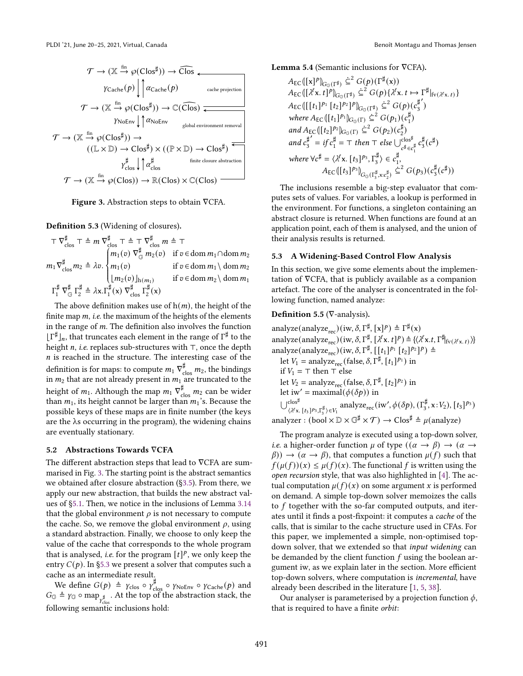<span id="page-10-0"></span>

Figure 3. Abstraction steps to obtain ∇CFA.

Definition 5.3 (Widening of closures).

 $\top \nabla_{\text{clos}}^{\sharp} \top \triangleq m \nabla_{\text{clos}}^{\sharp} \top \triangleq \top \nabla_{\text{clos}}^{\sharp} m \triangleq \top$  $m_1 \nabla_{\text{clos}}^{\sharp} m_2 \triangleq \lambda v.$  $\int$  $\overline{\mathcal{L}}$  $m_1(v)$   $\nabla_{\mathbb{G}}^{\sharp}$   $m_2(v)$  if  $v \in \text{dom } m_1 \cap \text{dom } m_2$  $m_1(v)$  if  $v \in \text{dom } m_1 \setminus \text{dom } m_2$  $\lfloor m_2(v) \rfloor_{h(m_1)}$  if  $v \in \text{dom } m_2 \setminus \text{dom } m_1$  $\Gamma_1^\sharp\ \nabla_\mathbb{G}^\sharp\ \Gamma_2^\sharp$  $\lambda_{2}^{\sharp}$   $\triangleq \lambda x.\Gamma_{1}^{\sharp}$  $\sum_{1}^{\sharp}$ (x)  $\nabla_{\text{clos}}^{\sharp}$   $\Gamma_{2}^{\sharp}$  $x_2^4(x)$ 

The above definition makes use of  $h(m)$ , the height of the finite map  $m$ , *i.e.* the maximum of the heights of the elements in the range of  $m$ . The definition also involves the function  $\lfloor \Gamma^{\sharp} \rfloor_n$ , that truncates each element in the range of  $\Gamma^{\sharp}$  to the height  $n$ , i.e. replaces sub-structures with ⊤, once the depth  $n$  is reached in the structure. The interesting case of the definition is for maps: to compute  $m_1 \nabla_{\text{clos}}^{\sharp} m_2$ , the bindings in  $m_2$  that are not already present in  $m_1$  are truncated to the height of  $m_1$ . Although the map  $m_1 \nabla_{\text{clos}}^{\sharp}$   $m_2$  can be wider than  $m_1$ , its height cannot be larger than  $m_1$ 's. Because the possible keys of these maps are in finite number (the keys are the λs occurring in the program), the widening chains are eventually stationary.

#### 5.2 Abstractions Towards ∇CFA

The different abstraction steps that lead to ∇CFA are summarised in Fig. [3.](#page-10-0) The starting point is the abstract semantics we obtained after closure abstraction ([ğ3.5\)](#page-7-0). From there, we apply our new abstraction, that builds the new abstract values of [ğ5.1.](#page-9-3) Then, we notice in the inclusions of Lemma [3.14](#page-7-3) that the global environment  $\rho$  is not necessary to compute the cache. So, we remove the global environment  $\rho$ , using a standard abstraction. Finally, we choose to only keep the value of the cache that corresponds to the whole program that is analysed, *i.e.* for the program  $[t]^p$ , we only keep the entry  $C(p)$ . In §5.3 we present a solver that computes such a cache as an intermediate result.

We define  $G(p) \triangleq \gamma_{\text{clos}} \circ \gamma_{\text{clos}}$   $\circ \gamma_{\text{NoEnv}} \circ \gamma_{\text{Cache}}(p)$  and  $G_{\mathbb{G}} \triangleq \gamma_{\mathbb{G}} \circ \text{map}_{\gamma_{\text{clos}}^{\sharp}}$ . At the top of the abstraction stack, the following semantic inclusions hold:

Lemma 5.4 (Semantic inclusions for ∇CFA).

 $A_{EC}(\llbracket x \rrbracket^p)_{G_{\mathbb{G}}(\Gamma^\sharp)} \subseteq^2 G(p)(\Gamma^\sharp(x))$  $A_{\text{EC}}(\left[\lambda^{\ell}x, t\right]^p)_{G_{\mathbb{G}}(\Gamma^{\sharp})} \leq^2 G(p)\{\lambda^{\ell}x, t \mapsto \Gamma^{\sharp}|_{\text{fv}(\lambda^{\ell}x, t)}\}$  $A_{EC}([[t_1]^{p_1} [t_2]^{p_2}]^p)_{G_{\mathbb{G}}(\Gamma^{\sharp})} \subseteq^2 G(p)(c_3^{\sharp'})$ 3 where  $A_{\text{EC}}([t_1]^{p_1})_{G_{\mathbb{G}}(\Gamma)} \subseteq^2 G(p_1) (c_1^{\sharp})$  $_{1}^{\sharp})$ and  $A_{\text{EC}}([t_2]^{p_2})_{G_{\mathbb{G}}(\Gamma)} \subseteq^2 G(p_2) (c_2^{\sharp})$  $_{2}^{\mu}$ and  $c_3^{\sharp}$ 3  $\vec{f} = i f c_1^{\sharp}$  $\sharp_1^{\sharp}$  = ⊤ then ⊤ else  $\bigcup_{c^{\sharp} \in c_1^{\sharp}}^{\text{clos}^{\sharp}} c_3^{\sharp}$  $\frac{1}{3}(c^{\sharp})$ where  $\forall c^{\sharp} = \langle \lambda^{\ell} \mathbf{x}. [t_3]^{p_3}, \Gamma_3^{\sharp}$  $\binom{4}{3} \in c_1^{\sharp}$ 1 ,  $A_{EC}([t_3]^{p_3})_{G_{\mathbb{G}}(\Gamma_3^{\sharp}, \mathbf{x}: c_2^{\sharp})} \subseteq^2 G(p_3)(c_3^{\sharp})$  $\frac{\sharp}{3}(c^{\sharp}))$ 

The inclusions resemble a big-step evaluator that computes sets of values. For variables, a lookup is performed in the environment. For functions, a singleton containing an abstract closure is returned. When functions are found at an application point, each of them is analysed, and the union of their analysis results is returned.

#### <span id="page-10-1"></span>5.3 A Widening-Based Control Flow Analysis

In this section, we give some elements about the implementation of ∇CFA, that is publicly available as a companion artefact. The core of the analyser is concentrated in the following function, named analyze:

# Definition 5.5 (∇-analysis).

analyze(analyze<sub>rec</sub>)(iw,  $\delta$ ,  $\Gamma^{\sharp}$ , [x]<sup>*P*</sup>)  $\triangleq \Gamma^{\sharp}(\mathsf{x})$ analyze(analyze<sub>rec</sub>)(iw,  $\delta$ ,  $\Gamma^{\sharp}$ ,  $[\lambda^{\ell}x, t]^p$ )  $\triangleq \{\langle \lambda^{\ell}x. t, \Gamma^{\sharp}|_{fv(\lambda^{\ell}x, t)} \rangle\}$ analyze(analyze<sub>rec</sub>)(iw, δ, Γ<sup>‡</sup>, [[t<sub>1</sub>]<sup>p<sub>1</sub></sup> [t<sub>2</sub>]<sup>p<sub>2</sub>]<sup>p</sup>) ≜</sup> let  $V_1 = \text{analyze}_{\text{rec}}(\text{false}, \delta, \Gamma^{\sharp}, [t_1]^{p_1})$  in if  $V_1$  = ⊤ then ⊤ else let  $V_2$  = analyze<sub>rec</sub> (false,  $\delta$ ,  $\Gamma^{\sharp}$ ,  $[t_2]^{p_2}$ ) in let iw' = maximal( $\phi(\delta p)$ ) in ∣ ∣<sup>clos‡</sup>  $\alpha^{\mathsf{clos}^{\sharp}}_{\langle \lambda^{\ell} \mathsf{x}.~[t_3]^{p_3}, \Gamma_3^{\sharp} \rangle \in V_1}$  analyze<sub>rec</sub> (iw',  $\phi(\delta p)$ , ( $\Gamma_3^{\sharp}$  $\binom{4}{3}$ , x: $V_2$ ),  $[t_3]^{p_3}$ ) analyzer : (bool  $\times \mathbb{D} \times \mathbb{G}^{\sharp} \times \mathcal{T}$ )  $\to$  Clos $^{\sharp}$   $\triangleq \mu(\text{analyze})$ 

The program analyze is executed using a top-down solver, *i.e.* a higher-order function  $\mu$  of type  $((\alpha \rightarrow \beta) \rightarrow (\alpha \rightarrow$  $(\beta)$ )  $\rightarrow$   $(\alpha \rightarrow \beta)$ , that computes a function  $\mu(f)$  such that  $f(\mu(f))(x) \leq \mu(f)(x)$ . The functional f is written using the open recursion style, that was also highlighted in [\[4\]](#page-14-6). The actual computation  $\mu(f)(x)$  on some argument x is performed on demand. A simple top-down solver memoizes the calls to  $f$  together with the so-far computed outputs, and iterates until it finds a post-fixpoint: it computes a cache of the calls, that is similar to the cache structure used in CFAs. For this paper, we implemented a simple, non-optimised topdown solver, that we extended so that *input widening* can be demanded by the client function  $f$  using the boolean argument iw, as we explain later in the section. More efficient top-down solvers, where computation is incremental, have already been described in the literature [\[1,](#page-13-0) [5,](#page-14-11) [38\]](#page-15-9).

Our analyser is parameterised by a projection function  $\phi$ , that is required to have a finite orbit: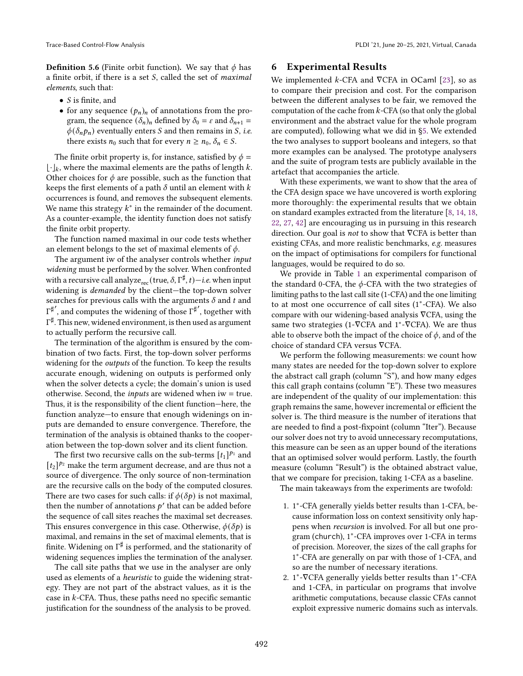**Definition 5.6** (Finite orbit function). We say that  $\phi$  has a finite orbit, if there is a set  $S$ , called the set of *maximal* elements, such that:

- $S$  is finite, and
- for any sequence  $(p_n)_n$  of annotations from the program, the sequence  $(\delta_n)_n$  defined by  $\delta_0 = \varepsilon$  and  $\delta_{n+1} =$  $\phi(\delta_n p_n)$  eventually enters *S* and then remains in *S*, *i.e.* there exists  $n_0$  such that for every  $n \ge n_0$ ,  $\delta_n \in S$ .

The finite orbit property is, for instance, satisfied by  $\phi =$  $\lfloor \cdot \rfloor_k$ , where the maximal elements are the paths of length k. Other choices for  $\phi$  are possible, such as the function that keeps the first elements of a path  $\delta$  until an element with  $k$ occurrences is found, and removes the subsequent elements. We name this strategy  $k^*$  in the remainder of the document. As a counter-example, the identity function does not satisfy the finite orbit property.

The function named maximal in our code tests whether an element belongs to the set of maximal elements of  $\phi$ .

The argument iw of the analyser controls whether input widening must be performed by the solver. When confronted with a recursive call analyze $_{\rm rec}$  (true,  $\delta, \Gamma^\sharp, t) - i.e.$  when input widening is *demanded* by the client-the top-down solver searches for previous calls with the arguments  $\delta$  and  $t$  and  $\Gamma^{\sharp'}$ , and computes the widening of those  $\Gamma^{\sharp'}$ , together with  $\Gamma^\sharp$ . This new, widened environment, is then used as argument to actually perform the recursive call.

The termination of the algorithm is ensured by the combination of two facts. First, the top-down solver performs widening for the outputs of the function. To keep the results accurate enough, widening on outputs is performed only when the solver detects a cycle; the domain's union is used otherwise. Second, the *inputs* are widened when  $iw = true$ . Thus, it is the responsibility of the client function–here, the function analyze-to ensure that enough widenings on inputs are demanded to ensure convergence. Therefore, the termination of the analysis is obtained thanks to the cooperation between the top-down solver and its client function.

The first two recursive calls on the sub-terms  $[t_1]^{p_1}$  and  $[t_2]^{p_2}$  make the term argument decrease, and are thus not a source of divergence. The only source of non-termination are the recursive calls on the body of the computed closures. There are two cases for such calls: if  $\phi(\delta p)$  is not maximal, then the number of annotations  $p'$  that can be added before the sequence of call sites reaches the maximal set decreases. This ensures convergence in this case. Otherwise,  $\phi(\delta p)$  is maximal, and remains in the set of maximal elements, that is finite. Widening on  $\Gamma^\sharp$  is performed, and the stationarity of widening sequences implies the termination of the analyser.

The call site paths that we use in the analyser are only used as elements of a heuristic to guide the widening strategy. They are not part of the abstract values, as it is the case in  $k$ -CFA. Thus, these paths need no specific semantic justification for the soundness of the analysis to be proved.

#### Trace-Based Control-Flow Analysis **PLDI** '21, June 20–25, 2021, Virtual, Canada

## <span id="page-11-0"></span>6 Experimental Results

We implemented  $k$ -CFA and  $\nabla$ CFA in OCaml [\[23\]](#page-14-12), so as to compare their precision and cost. For the comparison between the different analyses to be fair, we removed the computation of the cache from  $k$ -CFA (so that only the global environment and the abstract value for the whole program are computed), following what we did in [ğ5.](#page-9-0) We extended the two analyses to support booleans and integers, so that more examples can be analysed. The prototype analysers and the suite of program tests are publicly available in the artefact that accompanies the article.

With these experiments, we want to show that the area of the CFA design space we have uncovered is worth exploring more thoroughly: the experimental results that we obtain on standard examples extracted from the literature [\[8,](#page-14-13) [14,](#page-14-14) [18,](#page-14-4) [22,](#page-14-15) [27,](#page-14-16) [42\]](#page-15-1) are encouraging us in pursuing in this research direction. Our goal is not to show that ∇CFA is better than existing CFAs, and more realistic benchmarks, e.g. measures on the impact of optimisations for compilers for functional languages, would be required to do so.

We provide in Table [1](#page-12-0) an experimental comparison of the standard 0-CFA, the  $\phi$ -CFA with the two strategies of limiting paths to the last call site (1-CFA) and the one limiting to at most one occurrence of call sites (1<sup>∗</sup> -CFA). We also compare with our widening-based analysis ∇CFA, using the same two strategies (1-VCFA and 1<sup>\*</sup>-VCFA). We are thus able to observe both the impact of the choice of  $\phi$ , and of the choice of standard CFA versus ∇CFA.

We perform the following measurements: we count how many states are needed for the top-down solver to explore the abstract call graph (column "S"), and how many edges this call graph contains (column  $E$ "). These two measures are independent of the quality of our implementation: this graph remains the same, however incremental or efficient the solver is. The third measure is the number of iterations that are needed to find a post-fixpoint (column "Iter"). Because our solver does not try to avoid unnecessary recomputations, this measure can be seen as an upper bound of the iterations that an optimised solver would perform. Lastly, the fourth measure (column "Result") is the obtained abstract value, that we compare for precision, taking 1-CFA as a baseline.

The main takeaways from the experiments are twofold:

- 1. 1<sup>\*</sup>-CFA generally yields better results than 1-CFA, because information loss on context sensitivity only happens when recursion is involved. For all but one program (church), 1<sup>∗</sup> -CFA improves over 1-CFA in terms of precision. Moreover, the sizes of the call graphs for 1 ∗ -CFA are generally on par with those of 1-CFA, and so are the number of necessary iterations.
- 2. 1<sup>\*</sup>-VCFA generally yields better results than 1<sup>\*</sup>-CFA and 1-CFA, in particular on programs that involve arithmetic computations, because classic CFAs cannot exploit expressive numeric domains such as intervals.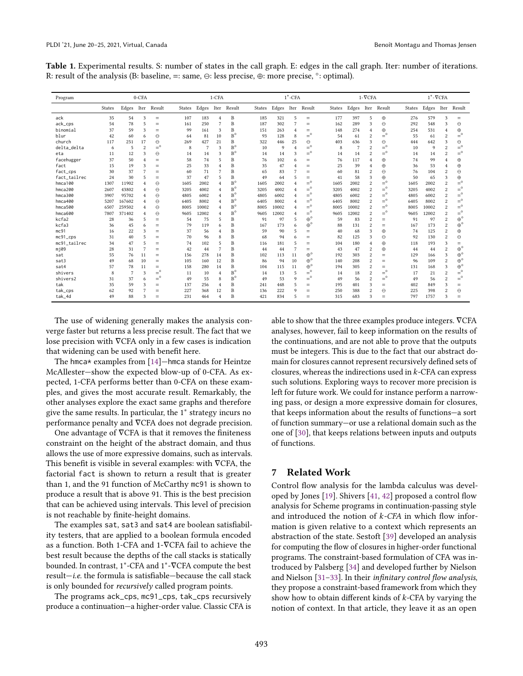<span id="page-12-0"></span>

| Table 1. Experimental results. S: number of states in the call graph. E: edges in the call graph. Iter: number of iterations. |  |  |  |
|-------------------------------------------------------------------------------------------------------------------------------|--|--|--|
| R: result of the analysis (B: baseline, $=$ : same, $\ominus$ : less precise, $\oplus$ : more precise, $\circ$ : optimal).    |  |  |  |

| Program                | $0$ -CFA      |                |                |             | 1-CFA  |       |                |                   | $1^*$ -CFA |       |                |                  | $1-\nabla$ CFA |                |                         |             | $1^*$ - $\nabla$ CFA |       |                         |                  |
|------------------------|---------------|----------------|----------------|-------------|--------|-------|----------------|-------------------|------------|-------|----------------|------------------|----------------|----------------|-------------------------|-------------|----------------------|-------|-------------------------|------------------|
|                        | <b>States</b> | Edges          |                | Iter Result | States |       |                | Edges Iter Result | States     | Edges | Iter           | Result           | <b>States</b>  | Edges          | Iter                    | Result      | States               | Edges | Iter                    | Result           |
| ack                    | 35            | 54             | 3              | $=$         | 107    | 183   | $\overline{4}$ | B                 | 185        | 321   | 5              | $=$              | 177            | 397            | 5                       | $\oplus$    | 276                  | 579   | 3                       | $=$              |
| ack_cps                | 54            | 78             | 5              | $=$         | 161    | 250   | $\overline{7}$ | B                 | 187        | 302   | 7              | $=$              | 162            | 289            | 3                       | $\Theta$    | 292                  | 548   | 3                       | $\Theta$         |
| binomial               | 37            | 59             | 3              | $=$         | 99     | 161   | 3              | B                 | 151        | 263   | $\overline{4}$ | $=$              | 148            | 274            | $\overline{4}$          | $\oplus$    | 254                  | 531   | $\overline{4}$          | $\oplus$         |
| blur                   | 42            | 60             | 6              | $\Theta$    | 64     | 81    | 10             | $B^{\circ}$       | 93         | 128   | 8              | $=^{\circ}$      | 54             | 61             | $\overline{2}$          | $=$ °       | 55                   | 61    | $\overline{c}$          | $=$ °            |
| church                 | 117           | 251            | 17             | $\Theta$    | 269    | 427   | 21             | B                 | 322        | 446   | 25             | $\Theta$         | 403            | 636            | 3                       | $\Theta$    | 444                  | 642   | 3                       | $\Theta$         |
| delta_delta            | 6             | 5              | $\overline{c}$ | $=$ °       | 8      | 7     | 3              | $B^{\circ}$       | 10         | 9     | $\overline{4}$ | $=$ °            | 8              | $\overline{7}$ | $\overline{c}$          | $=$ °       | 10                   | 9     | $\overline{\mathbf{c}}$ | $=$ °            |
| eta                    | 11            | 12             | 3              | $\Theta$    | 14     | 14    | 3              | $B^\circ$         | 14         | 14    | 3              | $\equiv^{\circ}$ | 14             | 14             | $\overline{2}$          | $=$ $\circ$ | 14                   | 14    | $\overline{2}$          | $=$ °            |
| facehugger             | 37            | 50             | $\overline{4}$ | $=$         | 58     | 74    | 5              | B                 | 76         | 102   | 6              | $=$              | 76             | 117            | $\overline{4}$          | $\oplus$    | 74                   | 99    | $\overline{4}$          | $\oplus$         |
| fact                   | 15            | 19             | 3              | $=$         | 25     | 33    | $\overline{4}$ | B                 | 35         | 47    | 4              | $=$              | 25             | 39             | $\overline{4}$          | $\oplus$    | 36                   | 53    | $\overline{4}$          | $\oplus$         |
| fact_cps               | 30            | 37             |                | $=$         | 60     | 71    | $\overline{7}$ | B                 | 65         | 83    | 7              | $=$              | 60             | 81             | $\overline{2}$          | $\Theta$    | 76                   | 104   | $\overline{c}$          | $\Theta$         |
| fact_tailrec           | 24            | 30             | 5              | $=$         | 37     | 47    | 5              | B                 | 49         | 64    | 5              | $=$              | 41             | 58             | 3                       | $\oplus$    | 50                   | 65    | 3                       | $\oplus$         |
| hmca100                | 1307          | 11902          | 4              | $\Theta$    | 1605   | 2002  | $\overline{4}$ | $B^{\circ}$       | 1605       | 2002  | $\overline{4}$ | $\equiv^{\circ}$ | 1605           | 2002           | $\overline{c}$          | $=$ °       | 1605                 | 2002  | $\overline{c}$          | $=$ $\circ$      |
| hmca200                | 2607          | 43802          | $\overline{4}$ | $\Theta$    | 3205   | 4002  | $\overline{4}$ | $B^{\circ}$       | 3205       | 4002  | $\overline{4}$ | $=$ $\circ$      | 3205           | 4002           | $\overline{c}$          | $=$ °       | 3205                 | 4002  | $\overline{c}$          | $=$ °            |
| hmca300                | 3907          | 95702          | 4              | $\Theta$    | 4805   | 6002  | $\overline{4}$ | $B^{\circ}$       | 4805       | 6002  | $\overline{4}$ | $=$ °            | 4805           | 6002           | $\overline{2}$          | $=$ °       | 4805                 | 6002  | $\overline{\mathbf{c}}$ | $=$ °            |
| hmca400                | 5207          | 167602         | 4              | $\Theta$    | 6405   | 8002  | $\overline{4}$ | $B^{\circ}$       | 6405       | 8002  | $\overline{4}$ | $=$ °            | 6405           | 8002           | $\overline{2}$          | $=$ °       | 6405                 | 8002  | $\overline{c}$          | $=$ °            |
| hmca500                | 6507          | 259502         | 4              | $\Theta$    | 8005   | 10002 | $\overline{4}$ | $B^{\circ}$       | 8005       | 10002 | $\overline{4}$ | $=$ °            | 8005           | 10002          | $\overline{2}$          | $=$ °       | 8005                 | 10002 | $\overline{2}$          | $=$ °            |
| hmca600                | 7807          | 371402         | $\overline{4}$ | $\Theta$    | 9605   | 12002 | $\overline{4}$ | $B^{\circ}$       | 9605       | 12002 | $\overline{4}$ | $=$ $^{\circ}$   | 9605           | 12002          | $\overline{2}$          | $=$ °       | 9605                 | 12002 | $\overline{c}$          | $=$ °            |
| kcfa2                  | 28            | 36             | 5              | $=$         | 54     | 75    | 5              | B                 | 91         | 97    | 5              | $\oplus^{\circ}$ | 59             | 83             | $\overline{2}$          | $=$         | 91                   | 97    | $\overline{c}$          | $\oplus^{\circ}$ |
| kcfa3                  | 36            | 45             | 6              | $=$         | 79     | 119   | 6              | B                 | 167        | 173   | 6              | $\oplus^{\circ}$ | 88             | 131            | $\overline{2}$          | $=$         | 167                  | 173   | $\overline{2}$          | $\oplus^{\circ}$ |
| mc91                   | 16            | 22             | 3              | $=$         | 37     | 56    | $\overline{4}$ | B                 | 59         | 90    | 5              | $=$              | 40             | 68             | $\overline{\mathbf{3}}$ | $\oplus$    | 74                   | 125   | $\overline{c}$          | $\oplus$         |
| $mc91$ <sub>-Cps</sub> | 31            | 40             | 5              | $=$         | 70     | 96    | 8              | B                 | 68         | 94    | 6              | $=$              | 82             | 125            | 3                       | $\Theta$    | 92                   | 130   | $\overline{2}$          | $\Theta$         |
| mc91 tailrec           | 34            | 47             | 5              | $=$         | 74     | 102   | 5              | B                 | 116        | 181   | 5              | $=$              | 104            | 180            | $\overline{4}$          | $\oplus$    | 118                  | 193   | 3                       | $=$              |
| m109                   | 28            | 31             | 7              | $=$         | 42     | 44    | $\overline{7}$ | B                 | 44         | 44    | 7              | $=$              | 43             | 47             | $\overline{2}$          | $\oplus$    | 44                   | 44    | $\overline{c}$          | $\oplus^{\circ}$ |
| sat                    | 55            | 76             | 11             | $=$         | 156    | 278   | 14             | B                 | 102        | 113   | 11             | $\oplus^\circ$   | 192            | 303            | $\overline{2}$          | $=$         | 129                  | 166   | 3                       | $\oplus^{\circ}$ |
| sat3                   | 49            | 68             | 10             | $=$         | 105    | 160   | 12             | B                 | 86         | 94    | 10             | $\oplus^{\circ}$ | 140            | 208            | $\overline{2}$          | $=$         | 96                   | 109   | $\overline{c}$          | $\oplus^{\circ}$ |
| sat4                   | 57            | 78             | 11             | $=$         | 158    | 280   | 14             | B                 | 104        | 115   | 11             | $\oplus^{\circ}$ | 194            | 305            | $\overline{2}$          | $=$         | 131                  | 168   | 3                       | $\oplus^{\circ}$ |
| shivers                | 8             | $\overline{7}$ | 3              | $=$ °       | 11     | 10    | $\overline{4}$ | $B^{\circ}$       | 14         | 13    | 5              | $=$ °            | 14             | 18             | $\overline{2}$          | $=$ $\circ$ | 17                   | 21    | $\overline{c}$          | $=$ °            |
| shivers2               | 31            | 37             | 6              | $=$ °       | 49     | 55    | 8              | $B^{\circ}$       | 49         | 53    | q              | $=^{\circ}$      | 49             | 56             | $\overline{2}$          | $=$ $\circ$ | 49                   | 56    | $\overline{2}$          | $=$ °            |
| tak                    | 35            | 59             | 3              | $=$         | 137    | 256   | $\overline{4}$ | B                 | 241        | 448   | 5              | $=$              | 195            | 401            | 3                       | $=$         | 402                  | 849   | 3                       | $=$              |
| tak_cps                | 62            | 92             |                | $=$         | 227    | 368   | 12             | B                 | 136        | 222   | q              | $=$              | 250            | 388            | $\overline{2}$          | $\Theta$    | 225                  | 398   | $\overline{2}$          | $\Theta$         |
| tak_4d                 | 49            | 88             |                | $=$         | 231    | 464   | $\overline{4}$ | B                 | 421        | 834   | 5              | $=$              | 315            | 683            | 3                       | $=$         | 797                  | 1757  | 3                       | $=$              |

The use of widening generally makes the analysis converge faster but returns a less precise result. The fact that we lose precision with ∇CFA only in a few cases is indication that widening can be used with benefit here.

The hmca\* examples from  $[14]$ —hmca stands for Heintze McAllester-show the expected blow-up of 0-CFA. As expected, 1-CFA performs better than 0-CFA on these examples, and gives the most accurate result. Remarkably, the other analyses explore the exact same graphs and therefore give the same results. In particular, the 1<sup>\*</sup> strategy incurs no performance penalty and ∇CFA does not degrade precision.

One advantage of ∇CFA is that it removes the finiteness constraint on the height of the abstract domain, and thus allows the use of more expressive domains, such as intervals. This benefit is visible in several examples: with ∇CFA, the factorial fact is shown to return a result that is greater than 1, and the 91 function of McCarthy mc91 is shown to produce a result that is above 91. This is the best precision that can be achieved using intervals. This level of precision is not reachable by finite-height domains.

The examples sat, sat3 and sat4 are boolean satisfiability testers, that are applied to a boolean formula encoded as a function. Both 1-CFA and 1-∇CFA fail to achieve the best result because the depths of the call stacks is statically bounded. In contrast, 1<sup>\*</sup>-CFA and 1<sup>\*</sup>-∇CFA compute the best  $result-i.e.$  the formula is satisfiable-because the call stack is only bounded for recursively called program points.

The programs ack\_cps, mc91\_cps, tak\_cps recursively produce a continuation-a higher-order value. Classic CFA is able to show that the three examples produce integers. ∇CFA analyses, however, fail to keep information on the results of the continuations, and are not able to prove that the outputs must be integers. This is due to the fact that our abstract domain for closures cannot represent recursively defined sets of closures, whereas the indirections used in  $k$ -CFA can express such solutions. Exploring ways to recover more precision is left for future work. We could for instance perform a narrowing pass, or design a more expressive domain for closures, that keeps information about the results of functions-a sort of function summary-or use a relational domain such as the one of [\[30\]](#page-15-10), that keeps relations between inputs and outputs of functions.

# 7 Related Work

Control flow analysis for the lambda calculus was developed by Jones [\[19\]](#page-14-17). Shivers [\[41,](#page-15-11) [42\]](#page-15-1) proposed a control flow analysis for Scheme programs in continuation-passing style and introduced the notion of  $k$ -CFA in which flow information is given relative to a context which represents an abstraction of the state. Sestoft [\[39\]](#page-15-12) developed an analysis for computing the flow of closures in higher-order functional programs. The constraint-based formulation of CFA was introduced by Palsberg [\[34\]](#page-15-13) and developed further by Nielson and Nielson  $[31-33]$  $[31-33]$ . In their infinitary control flow analysis, they propose a constraint-based framework from which they show how to obtain different kinds of  $k$ -CFA by varying the notion of context. In that article, they leave it as an open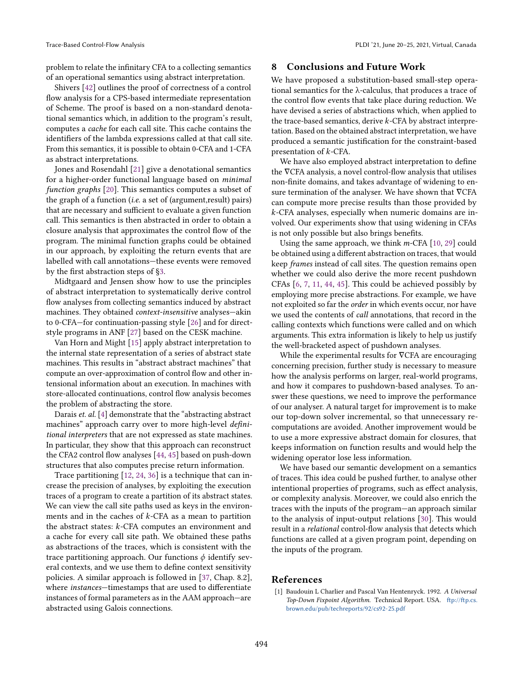problem to relate the infinitary CFA to a collecting semantics of an operational semantics using abstract interpretation.

Shivers [\[42\]](#page-15-1) outlines the proof of correctness of a control flow analysis for a CPS-based intermediate representation of Scheme. The proof is based on a non-standard denotational semantics which, in addition to the program's result, computes a cache for each call site. This cache contains the identifiers of the lambda expressions called at that call site. From this semantics, it is possible to obtain 0-CFA and 1-CFA as abstract interpretations.

Jones and Rosendahl [\[21\]](#page-14-18) give a denotational semantics for a higher-order functional language based on minimal function graphs [\[20\]](#page-14-19). This semantics computes a subset of the graph of a function (i.e. a set of (argument,result) pairs) that are necessary and sufficient to evaluate a given function call. This semantics is then abstracted in order to obtain a closure analysis that approximates the control flow of the program. The minimal function graphs could be obtained in our approach, by exploiting the return events that are labelled with call annotations—these events were removed by the first abstraction steps of [ğ3.](#page-4-0)

Midtgaard and Jensen show how to use the principles of abstract interpretation to systematically derive control flow analyses from collecting semantics induced by abstract machines. They obtained *context-insensitive* analyses—akin to 0-CFA–for continuation-passing style  $[26]$  and for directstyle programs in ANF [\[27\]](#page-14-16) based on the CESK machine.

Van Horn and Might [\[15\]](#page-14-3) apply abstract interpretation to the internal state representation of a series of abstract state machines. This results in "abstract abstract machines" that compute an over-approximation of control flow and other intensional information about an execution. In machines with store-allocated continuations, control flow analysis becomes the problem of abstracting the store.

Darais *et. al.* [\[4\]](#page-14-6) demonstrate that the "abstracting abstract" machines" approach carry over to more high-level definitional interpreters that are not expressed as state machines. In particular, they show that this approach can reconstruct the CFA2 control flow analyses [\[44,](#page-15-14) [45\]](#page-15-15) based on push-down structures that also computes precise return information.

Trace partitioning [\[12,](#page-14-21) [24,](#page-14-22) [36\]](#page-15-16) is a technique that can increase the precision of analyses, by exploiting the execution traces of a program to create a partition of its abstract states. We can view the call site paths used as keys in the environments and in the caches of  $k$ -CFA as a mean to partition the abstract states:  $k$ -CFA computes an environment and a cache for every call site path. We obtained these paths as abstractions of the traces, which is consistent with the trace partitioning approach. Our functions  $\phi$  identify several contexts, and we use them to define context sensitivity policies. A similar approach is followed in [\[37,](#page-15-7) Chap. 8.2], where instances-timestamps that are used to differentiate instances of formal parameters as in the AAM approach—are abstracted using Galois connections.

### 8 Conclusions and Future Work

We have proposed a substitution-based small-step operational semantics for the λ-calculus, that produces a trace of the control flow events that take place during reduction. We have devised a series of abstractions which, when applied to the trace-based semantics, derive  $k$ -CFA by abstract interpretation. Based on the obtained abstract interpretation, we have produced a semantic justification for the constraint-based presentation of  $k$ -CFA.

We have also employed abstract interpretation to define the ∇CFA analysis, a novel control-flow analysis that utilises non-finite domains, and takes advantage of widening to ensure termination of the analyser. We have shown that ∇CFA can compute more precise results than those provided by -CFA analyses, especially when numeric domains are involved. Our experiments show that using widening in CFAs is not only possible but also brings benefits.

Using the same approach, we think  $m$ -CFA [\[10,](#page-14-23) [29\]](#page-14-24) could be obtained using a different abstraction on traces, that would keep frames instead of call sites. The question remains open whether we could also derive the more recent pushdown CFAs [\[6,](#page-14-25) [7,](#page-14-26) [11,](#page-14-27) [44,](#page-15-14) [45\]](#page-15-15). This could be achieved possibly by employing more precise abstractions. For example, we have not exploited so far the order in which events occur, nor have we used the contents of call annotations, that record in the calling contexts which functions were called and on which arguments. This extra information is likely to help us justify the well-bracketed aspect of pushdown analyses.

While the experimental results for ∇CFA are encouraging concerning precision, further study is necessary to measure how the analysis performs on larger, real-world programs, and how it compares to pushdown-based analyses. To answer these questions, we need to improve the performance of our analyser. A natural target for improvement is to make our top-down solver incremental, so that unnecessary recomputations are avoided. Another improvement would be to use a more expressive abstract domain for closures, that keeps information on function results and would help the widening operator lose less information.

We have based our semantic development on a semantics of traces. This idea could be pushed further, to analyse other intentional properties of programs, such as effect analysis, or complexity analysis. Moreover, we could also enrich the traces with the inputs of the program—an approach similar to the analysis of input-output relations [\[30\]](#page-15-10). This would result in a relational control-flow analysis that detects which functions are called at a given program point, depending on the inputs of the program.

## References

<span id="page-13-0"></span>[1] Baudouin L Charlier and Pascal Van Hentenryck. 1992. A Universal Top-Down Fixpoint Algorithm. Technical Report. USA. [ftp://ftp.cs.](ftp://ftp.cs.brown.edu/pub/techreports/92/cs92-25.pdf) [brown.edu/pub/techreports/92/cs92-25.pdf](ftp://ftp.cs.brown.edu/pub/techreports/92/cs92-25.pdf)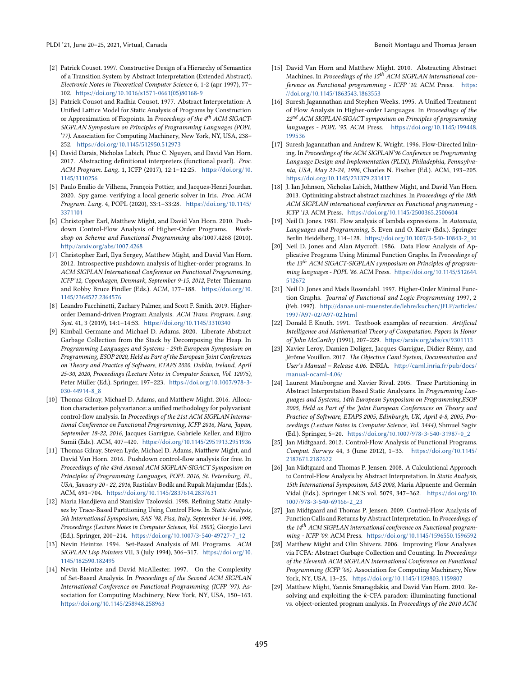- <span id="page-14-9"></span>[2] Patrick Cousot. 1997. Constructive Design of a Hierarchy of Semantics of a Transition System by Abstract Interpretation (Extended Abstract). Electronic Notes in Theoretical Computer Science 6, 1-2 (apr 1997), 77-102. [https://doi.org/10.1016/s1571-0661\(05\)80168-9](https://doi.org/10.1016/s1571-0661(05)80168-9)
- <span id="page-14-8"></span>[3] Patrick Cousot and Radhia Cousot. 1977. Abstract Interpretation: A Unified Lattice Model for Static Analysis of Programs by Construction or Approximation of Fixpoints. In Proceedings of the  $4^{th}$  ACM SIGACT-SIGPLAN Symposium on Principles of Programming Languages (POPL '77). Association for Computing Machinery, New York, NY, USA, 238-252. <https://doi.org/10.1145/512950.512973>
- <span id="page-14-6"></span>[4] David Darais, Nicholas Labich, Phuc C. Nguyen, and David Van Horn. 2017. Abstracting definitional interpreters (functional pearl). Proc. ACM Program. Lang. 1, ICFP (2017), 12:1-12:25. [https://doi.org/10.](https://doi.org/10.1145/3110256) [1145/3110256](https://doi.org/10.1145/3110256)
- <span id="page-14-11"></span>[5] Paulo Emílio de Vilhena, François Pottier, and Jacques-Henri Jourdan. 2020. Spy game: verifying a local generic solver in Iris. Proc. ACM Program. Lang. 4, POPL (2020), 33:1-33:28. [https://doi.org/10.1145/](https://doi.org/10.1145/3371101) [3371101](https://doi.org/10.1145/3371101)
- <span id="page-14-25"></span>[6] Christopher Earl, Matthew Might, and David Van Horn. 2010. Pushdown Control-Flow Analysis of Higher-Order Programs. Workshop on Scheme and Functional Programming abs/1007.4268 (2010). <http://arxiv.org/abs/1007.4268>
- <span id="page-14-26"></span>[7] Christopher Earl, Ilya Sergey, Matthew Might, and David Van Horn. 2012. Introspective pushdown analysis of higher-order programs. In ACM SIGPLAN International Conference on Functional Programming, ICFP'12, Copenhagen, Denmark, September 9-15, 2012, Peter Thiemann and Robby Bruce Findler (Eds.). ACM, 177-188. [https://doi.org/10.](https://doi.org/10.1145/2364527.2364576) [1145/2364527.2364576](https://doi.org/10.1145/2364527.2364576)
- <span id="page-14-13"></span>[8] Leandro Facchinetti, Zachary Palmer, and Scott F. Smith. 2019. Higherorder Demand-driven Program Analysis. ACM Trans. Program. Lang. Syst. 41, 3 (2019), 14:1-14:53. <https://doi.org/10.1145/3310340>
- <span id="page-14-7"></span>[9] Kimball Germane and Michael D. Adams. 2020. Liberate Abstract Garbage Collection from the Stack by Decomposing the Heap. In Programming Languages and Systems - 29th European Symposium on Programming, ESOP 2020, Held as Part of the European Joint Conferences on Theory and Practice of Software, ETAPS 2020, Dublin, Ireland, April 25-30, 2020, Proceedings (Lecture Notes in Computer Science, Vol. 12075), Peter Müller (Ed.). Springer, 197-223. [https://doi.org/10.1007/978-3-](https://doi.org/10.1007/978-3-030-44914-8_8) [030-44914-8\\_8](https://doi.org/10.1007/978-3-030-44914-8_8)
- <span id="page-14-23"></span>[10] Thomas Gilray, Michael D. Adams, and Matthew Might. 2016. Allocation characterizes polyvariance: a unified methodology for polyvariant control-flow analysis. In Proceedings of the 21st ACM SIGPLAN International Conference on Functional Programming, ICFP 2016, Nara, Japan, September 18-22, 2016, Jacques Garrigue, Gabriele Keller, and Eijiro Sumii (Eds.). ACM, 407-420. <https://doi.org/10.1145/2951913.2951936>
- <span id="page-14-27"></span>[11] Thomas Gilray, Steven Lyde, Michael D. Adams, Matthew Might, and David Van Horn. 2016. Pushdown control-flow analysis for free. In Proceedings of the 43rd Annual ACM SIGPLAN-SIGACT Symposium on Principles of Programming Languages, POPL 2016, St. Petersburg, FL, USA, January 20 - 22, 2016, Rastislav Bodík and Rupak Majumdar (Eds.). ACM, 691-704. <https://doi.org/10.1145/2837614.2837631>
- <span id="page-14-21"></span>[12] Maria Handjieva and Stanislav Tzolovski. 1998. Refining Static Analyses by Trace-Based Partitioning Using Control Flow. In Static Analysis, 5th International Symposium, SAS '98, Pisa, Italy, September 14-16, 1998, Proceedings (Lecture Notes in Computer Science, Vol. 1503), Giorgio Levi (Ed.). Springer, 200-214. [https://doi.org/10.1007/3-540-49727-7\\_12](https://doi.org/10.1007/3-540-49727-7_12)
- <span id="page-14-1"></span>[13] Nevin Heintze. 1994. Set-Based Analysis of ML Programs. ACM SIGPLAN Lisp Pointers VII, 3 (July 1994), 306-317. [https://doi.org/10.](https://doi.org/10.1145/182590.182495) [1145/182590.182495](https://doi.org/10.1145/182590.182495)
- <span id="page-14-14"></span>[14] Nevin Heintze and David McAllester. 1997. On the Complexity of Set-Based Analysis. In Proceedings of the Second ACM SIGPLAN International Conference on Functional Programming (ICFP '97). Association for Computing Machinery, New York, NY, USA, 150-163. <https://doi.org/10.1145/258948.258963>
- <span id="page-14-3"></span>[15] David Van Horn and Matthew Might. 2010. Abstracting Abstract Machines. In Proceedings of the  $15<sup>th</sup>$  ACM SIGPLAN international conference on Functional programming - ICFP '10. ACM Press. [https:](https://doi.org/10.1145/1863543.1863553) [//doi.org/10.1145/1863543.1863553](https://doi.org/10.1145/1863543.1863553)
- <span id="page-14-2"></span>[16] Suresh Jagannathan and Stephen Weeks. 1995. A Unified Treatment of Flow Analysis in Higher-order Languages. In Proceedings of the  $22<sup>nd</sup>$  ACM SIGPLAN-SIGACT symposium on Principles of programming languages - POPL '95. ACM Press. [https://doi.org/10.1145/199448.](https://doi.org/10.1145/199448.199536) [199536](https://doi.org/10.1145/199448.199536)
- <span id="page-14-10"></span>[17] Suresh Jagannathan and Andrew K. Wright. 1996. Flow-Directed Inlining. In Proceedings of the ACM SIGPLAN'96 Conference on Programming Language Design and Implementation (PLDI), Philadephia, Pennsylvania, USA, May 21-24, 1996, Charles N. Fischer (Ed.). ACM, 193-205. <https://doi.org/10.1145/231379.231417>
- <span id="page-14-4"></span>[18] J. Ian Johnson, Nicholas Labich, Matthew Might, and David Van Horn. 2013. Optimizing abstract abstract machines. In Proceedings of the 18th ACM SIGPLAN international conference on Functional programming - ICFP '13. ACM Press. <https://doi.org/10.1145/2500365.2500604>
- <span id="page-14-17"></span>[19] Neil D. Jones. 1981. Flow analysis of lambda expressions. In Automata, Languages and Programming, S. Even and O. Kariv (Eds.). Springer Berlin Heidelberg, 114-128. [https://doi.org/10.1007/3-540-10843-2\\_10](https://doi.org/10.1007/3-540-10843-2_10)
- <span id="page-14-19"></span>[20] Neil D. Jones and Alan Mycroft. 1986. Data Flow Analysis of Applicative Programs Using Minimal Function Graphs. In Proceedings of the 13<sup>th</sup> ACM SIGACT-SIGPLAN symposium on Principles of programming languages - POPL '86. ACM Press. [https://doi.org/10.1145/512644.](https://doi.org/10.1145/512644.512672) [512672](https://doi.org/10.1145/512644.512672)
- <span id="page-14-18"></span>[21] Neil D. Jones and Mads Rosendahl. 1997. Higher-Order Minimal Function Graphs. Journal of Functional and Logic Programming 1997, 2 (Feb. 1997). [http://danae.uni-muenster.de/lehre/kuchen/JFLP/articles/](http://danae.uni-muenster.de/lehre/kuchen/JFLP/articles/ 1997/A97-02/A97-02.html) [1997/A97-02/A97-02.html](http://danae.uni-muenster.de/lehre/kuchen/JFLP/articles/ 1997/A97-02/A97-02.html)
- <span id="page-14-15"></span>[22] Donald E Knuth. 1991. Textbook examples of recursion. Artificial Intelligence and Mathematical Theory of Computation. Papers in Honor of John McCarthy (1991), 207-229. <https://arxiv.org/abs/cs/9301113>
- <span id="page-14-12"></span>[23] Xavier Leroy, Damien Doligez, Jacques Garrigue, Didier Rémy, and Jérôme Vouillon. 2017. The Objective Caml System, Documentation and User's Manual - Release 4.06. INRIA. [http://caml.inria.fr/pub/docs/](http://caml.inria.fr/pub/docs/manual-ocaml-4.06/) [manual-ocaml-4.06/](http://caml.inria.fr/pub/docs/manual-ocaml-4.06/)
- <span id="page-14-22"></span>[24] Laurent Mauborgne and Xavier Rival. 2005. Trace Partitioning in Abstract Interpretation Based Static Analyzers. In Programming Languages and Systems, 14th European Symposium on Programming,ESOP 2005, Held as Part of the Joint European Conferences on Theory and Practice of Software, ETAPS 2005, Edinburgh, UK, April 4-8, 2005, Proceedings (Lecture Notes in Computer Science, Vol. 3444), Shmuel Sagiv (Ed.). Springer, 5-20. [https://doi.org/10.1007/978-3-540-31987-0\\_2](https://doi.org/10.1007/978-3-540-31987-0_2)
- <span id="page-14-0"></span>[25] Jan Midtgaard. 2012. Control-Flow Analysis of Functional Programs. Comput. Surveys 44, 3 (June 2012), 1-33. [https://doi.org/10.1145/](https://doi.org/10.1145/2187671.2187672) [2187671.2187672](https://doi.org/10.1145/2187671.2187672)
- <span id="page-14-20"></span>[26] Jan Midtgaard and Thomas P. Jensen. 2008. A Calculational Approach to Control-Flow Analysis by Abstract Interpretation. In Static Analysis, 15th International Symposium, SAS 2008, María Alpuente and Germán Vidal (Eds.). Springer LNCS vol. 5079, 347-362. [https://doi.org/10.](https://doi.org/10.1007/978-3-540-69166-2_23) [1007/978-3-540-69166-2\\_23](https://doi.org/10.1007/978-3-540-69166-2_23)
- <span id="page-14-16"></span>[27] Jan Midtgaard and Thomas P. Jensen. 2009. Control-Flow Analysis of Function Calls and Returns by Abstract Interpretation. In Proceedings of the  $14<sup>th</sup>$  ACM SIGPLAN international conference on Functional programming - ICFP '09. ACM Press. <https://doi.org/10.1145/1596550.1596592>
- <span id="page-14-5"></span>[28] Matthew Might and Olin Shivers. 2006. Improving Flow Analyses via ΓCFA: Abstract Garbage Collection and Counting. In Proceedings of the Eleventh ACM SIGPLAN International Conference on Functional Programming (ICFP '06). Association for Computing Machinery, New York, NY, USA, 13-25. <https://doi.org/10.1145/1159803.1159807>
- <span id="page-14-24"></span>[29] Matthew Might, Yannis Smaragdakis, and David Van Horn. 2010. Resolving and exploiting the k-CFA paradox: illuminating functional vs. object-oriented program analysis. In Proceedings of the 2010 ACM